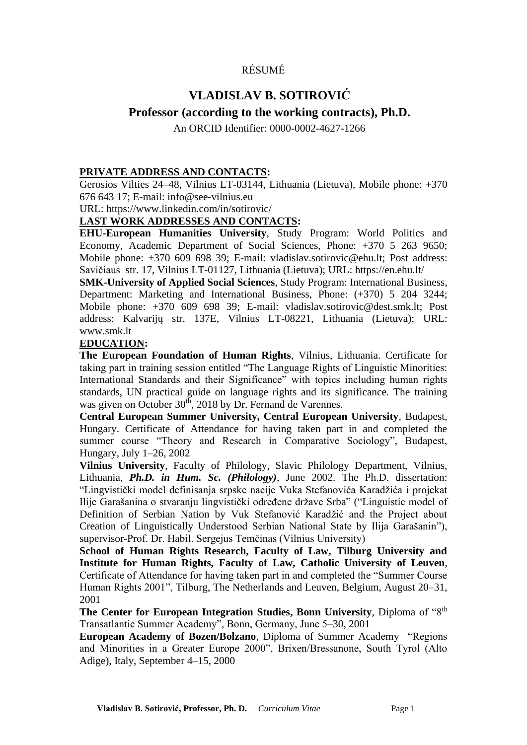# RÉSUMÉ

# **VLADISLAV B. SOTIROVIĆ**

# **Professor (according to the working contracts), Ph.D.**

An ORCID Identifier: 0000-0002-4627-1266

## **PRIVATE ADDRESS AND CONTACTS:**

Gerosios Vilties 24–48, Vilnius LT-03144, Lithuania (Lietuva), Mobile phone: +370 676 643 17; E-mail: info@see-vilnius.eu

URL: https://www.linkedin.com/in/sotirovic/

# **LAST WORK ADDRESSES AND CONTACTS:**

**EHU-European Humanities University**, Study Program: World Politics and Economy, Academic Department of Social Sciences, Phone: +370 5 263 9650; Mobile phone: +370 609 698 39; E-mail: vladislav.sotirovic@ehu.lt; Post address: Savičiaus str. 17, Vilnius LT-01127, Lithuania (Lietuva); URL:<https://en.ehu.lt/>

**SMK-University of Applied Social Sciences**, Study Program: International Business, Department: Marketing and International Business, Phone: (+370) 5 204 3244; Mobile phone: +370 609 698 39; E-mail: vladislav.sotirovic@dest.smk.lt; Post address: Kalvarijų str. 137E, Vilnius LT-08221, Lithuania (Lietuva); URL: www.smk.lt

# **EDUCATION:**

**The European Foundation of Human Rights**, Vilnius, Lithuania. Certificate for taking part in training session entitled "The Language Rights of Linguistic Minorities: International Standards and their Significance" with topics including human rights standards, UN practical guide on language rights and its significance. The training was given on October 30<sup>th</sup>, 2018 by Dr. Fernand de Varennes.

**Central European Summer University, Central European University**, Budapest, Hungary. Certificate of Attendance for having taken part in and completed the summer course "Theory and Research in Comparative Sociology", Budapest, Hungary, July 1–26, 2002

**Vilnius University**, Faculty of Philology, Slavic Philology Department, Vilnius, Lithuania, *Ph.D. in Hum. Sc. (Philology)*, June 2002. The Ph.D. dissertation: "Lingvistički model definisanja srpske nacije Vuka Stefanovića Karadžića i projekat Ilije Garašanina o stvaranju lingvistički određene države Srba" ("Linguistic model of Definition of Serbian Nation by Vuk Stefanović Karadžić and the Project about Creation of Linguistically Understood Serbian National State by Ilija Garašanin"), supervisor-Prof. Dr. Habil. Sergejus Temčinas (Vilnius University)

**School of Human Rights Research, Faculty of Law, Tilburg University and Institute for Human Rights, Faculty of Law, Catholic University of Leuven**, Certificate of Attendance for having taken part in and completed the "Summer Course Human Rights 2001", Tilburg, The Netherlands and Leuven, Belgium, August 20–31, 2001

**The Center for European Integration Studies, Bonn University**, Diploma of "8<sup>th</sup> Transatlantic Summer Academy", Bonn, Germany, June 5–30, 2001

**European Academy of Bozen/Bolzano**, Diploma of Summer Academy "Regions and Minorities in a Greater Europe 2000", Brixen/Bressanone, South Tyrol (Alto Adige), Italy, September 4–15, 2000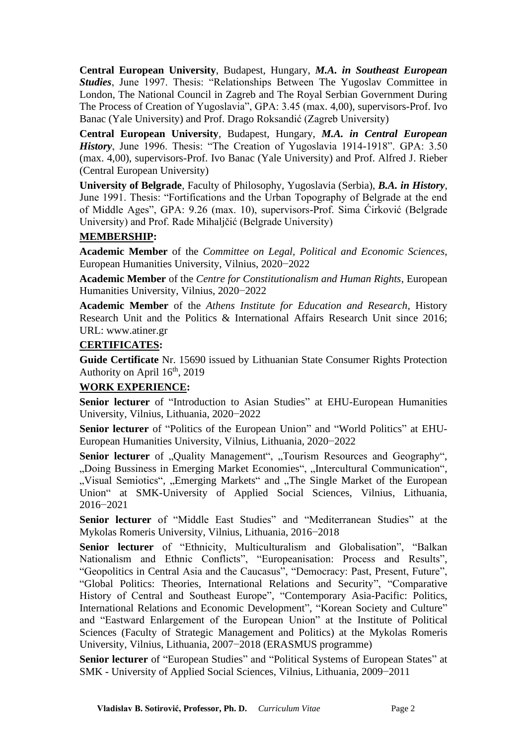**Central European University**, Budapest, Hungary, *M.A. in Southeast European Studies*, June 1997. Thesis: "Relationships Between The Yugoslav Committee in London, The National Council in Zagreb and The Royal Serbian Government During The Process of Creation of Yugoslavia", GPA: 3.45 (max. 4,00), supervisors-Prof. Ivo Banac (Yale University) and Prof. Drago Roksandić (Zagreb University)

**Central European University**, Budapest, Hungary, *M.A. in Central European History*, June 1996. Thesis: "The Creation of Yugoslavia 1914-1918". GPA: 3.50 (max. 4,00), supervisors-Prof. Ivo Banac (Yale University) and Prof. Alfred J. Rieber (Central European University)

**University of Belgrade**, Faculty of Philosophy, Yugoslavia (Serbia), *B.A. in History*, June 1991. Thesis: "Fortifications and the Urban Topography of Belgrade at the end of Middle Ages", GPA: 9.26 (max. 10), supervisors-Prof. Sima Ćirković (Belgrade University) and Prof. Rade Mihaljčić (Belgrade University)

## **MEMBERSHIP:**

**Academic Member** of the *Committee on Legal, Political and Economic Sciences*, European Humanities University, Vilnius, 2020−2022

**Academic Member** of the *Centre for Constitutionalism and Human Rights*, European Humanities University, Vilnius, 2020−2022

**Academic Member** of the *Athens Institute for Education and Research*, History Research Unit and the Politics & International Affairs Research Unit since 2016; URL: www.atiner.gr

## **CERTIFICATES:**

**Guide Certificate** Nr. 15690 issued by Lithuanian State Consumer Rights Protection Authority on April  $16^{th}$ , 2019

## **WORK EXPERIENCE:**

**Senior lecturer** of "Introduction to Asian Studies" at EHU-European Humanities University, Vilnius, Lithuania, 2020−2022

**Senior lecturer** of "Politics of the European Union" and "World Politics" at EHU-European Humanities University, Vilnius, Lithuania, 2020−2022

Senior lecturer of "Quality Management", "Tourism Resources and Geography", "Doing Bussiness in Emerging Market Economies", "Intercultural Communication", ", Visual Semiotics", "Emerging Markets" and "The Single Market of the European Union" at SMK-University of Applied Social Sciences, Vilnius, Lithuania, 2016−2021

**Senior lecturer** of "Middle East Studies" and "Mediterranean Studies" at the Mykolas Romeris University, Vilnius, Lithuania, 2016−2018

**Senior lecturer** of "Ethnicity, Multiculturalism and Globalisation", "Balkan Nationalism and Ethnic Conflicts", "Europeanisation: Process and Results", "Geopolitics in Central Asia and the Caucasus", "Democracy: Past, Present, Future", "Global Politics: Theories, International Relations and Security", "Comparative History of Central and Southeast Europe", "Contemporary Asia-Pacific: Politics, International Relations and Economic Development", "Korean Society and Culture" and "Eastward Enlargement of the European Union" at the Institute of Political Sciences (Faculty of Strategic Management and Politics) at the Mykolas Romeris University, Vilnius, Lithuania, 2007−2018 (ERASMUS programme)

**Senior lecturer** of "European Studies" and "Political Systems of European States" at SMK - University of Applied Social Sciences, Vilnius, Lithuania, 2009−2011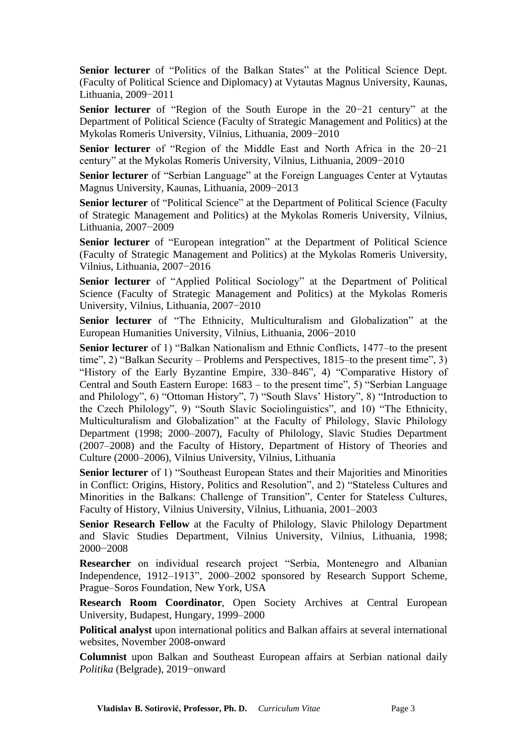**Senior lecturer** of "Politics of the Balkan States" at the Political Science Dept. (Faculty of Political Science and Diplomacy) at Vytautas Magnus University, Kaunas, Lithuania, 2009−2011

**Senior lecturer** of "Region of the South Europe in the 20−21 century" at the Department of Political Science (Faculty of Strategic Management and Politics) at the Mykolas Romeris University, Vilnius, Lithuania, 2009−2010

**Senior lecturer** of "Region of the Middle East and North Africa in the 20−21 century" at the Mykolas Romeris University, Vilnius, Lithuania, 2009−2010

**Senior lecturer** of "Serbian Language" at the Foreign Languages Center at Vytautas Magnus University, Kaunas, Lithuania, 2009−2013

Senior lecturer of "Political Science" at the Department of Political Science (Faculty of Strategic Management and Politics) at the Mykolas Romeris University, Vilnius, Lithuania, 2007−2009

**Senior lecturer** of "European integration" at the Department of Political Science (Faculty of Strategic Management and Politics) at the Mykolas Romeris University, Vilnius, Lithuania, 2007−2016

**Senior lecturer** of "Applied Political Sociology" at the Department of Political Science (Faculty of Strategic Management and Politics) at the Mykolas Romeris University, Vilnius, Lithuania, 2007−2010

**Senior lecturer** of "The Ethnicity, Multiculturalism and Globalization" at the European Humanities University, Vilnius, Lithuania, 2006−2010

**Senior lecturer** of 1) "Balkan Nationalism and Ethnic Conflicts, 1477–to the present time", 2) "Balkan Security – Problems and Perspectives, 1815–to the present time", 3) "History of the Early Byzantine Empire, 330–846", 4) "Comparative History of Central and South Eastern Europe: 1683 – to the present time", 5) "Serbian Language and Philology", 6) "Ottoman History", 7) "South Slavs' History", 8) "Introduction to the Czech Philology", 9) "South Slavic Sociolinguistics", and 10) "The Ethnicity, Multiculturalism and Globalization" at the Faculty of Philology, Slavic Philology Department (1998; 2000–2007), Faculty of Philology, Slavic Studies Department (2007–2008) and the Faculty of History, Department of History of Theories and Culture (2000–2006), Vilnius University, Vilnius, Lithuania

**Senior lecturer** of 1) "Southeast European States and their Majorities and Minorities in Conflict: Origins, History, Politics and Resolution", and 2) "Stateless Cultures and Minorities in the Balkans: Challenge of Transition", Center for Stateless Cultures, Faculty of History, Vilnius University, Vilnius, Lithuania, 2001–2003

**Senior Research Fellow** at the Faculty of Philology, Slavic Philology Department and Slavic Studies Department, Vilnius University, Vilnius, Lithuania, 1998; 2000−2008

**Researcher** on individual research project "Serbia, Montenegro and Albanian Independence, 1912–1913", 2000–2002 sponsored by Research Support Scheme, Prague–Soros Foundation, New York, USA

**Research Room Coordinator**, Open Society Archives at Central European University, Budapest, Hungary, 1999–2000

**Political analyst** upon international politics and Balkan affairs at several international websites, November 2008-onward

**Columnist** upon Balkan and Southeast European affairs at Serbian national daily *Politika* (Belgrade), 2019−onward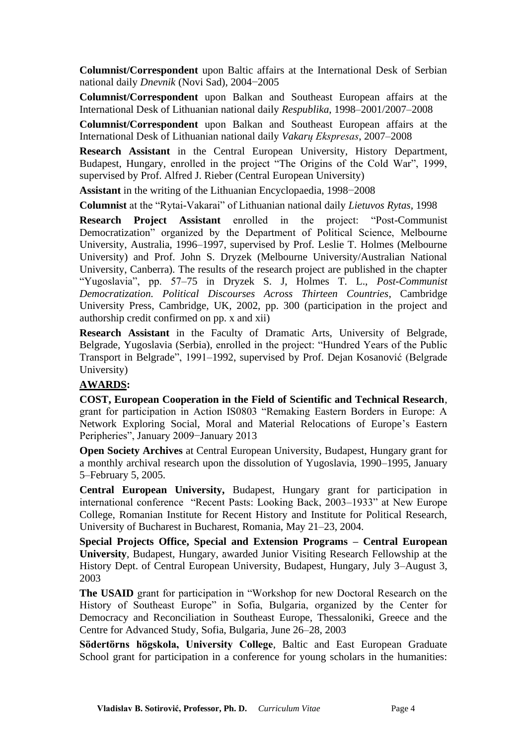**Columnist/Correspondent** upon Baltic affairs at the International Desk of Serbian national daily *Dnevnik* (Novi Sad), 2004−2005

**Columnist/Correspondent** upon Balkan and Southeast European affairs at the International Desk of Lithuanian national daily *Respublika*, 1998–2001/2007–2008

**Columnist/Correspondent** upon Balkan and Southeast European affairs at the International Desk of Lithuanian national daily *Vakarų Ekspresas*, 2007–2008

**Research Assistant** in the Central European University, History Department, Budapest, Hungary, enrolled in the project "The Origins of the Cold War", 1999, supervised by Prof. Alfred J. Rieber (Central European University)

**Assistant** in the writing of the Lithuanian Encyclopaedia, 1998−2008

**Columnist** at the "Rytai-Vakarai" of Lithuanian national daily *Lietuvos Rytas,* 1998

**Research Project Assistant** enrolled in the project: "Post-Communist Democratization" organized by the Department of Political Science, Melbourne University, Australia, 1996–1997, supervised by Prof. Leslie T. Holmes (Melbourne University) and Prof. John S. Dryzek (Melbourne University/Australian National University, Canberra). The results of the research project are published in the chapter "Yugoslavia", pp. 57–75 in Dryzek S. J, Holmes T. L., *Post-Communist Democratization. Political Discourses Across Thirteen Countries*, Cambridge University Press, Cambridge, UK, 2002, pp. 300 (participation in the project and authorship credit confirmed on pp. x and xii)

**Research Assistant** in the Faculty of Dramatic Arts, University of Belgrade, Belgrade, Yugoslavia (Serbia), enrolled in the project: "Hundred Years of the Public Transport in Belgrade", 1991–1992, supervised by Prof. Dejan Kosanović (Belgrade University)

#### **AWARDS:**

**COST, European Cooperation in the Field of Scientific and Technical Research**, grant for participation in Action IS0803 "Remaking Eastern Borders in Europe: A Network Exploring Social, Moral and Material Relocations of Europe's Eastern Peripheries", January 2009−January 2013

**Open Society Archives** at Central European University, Budapest, Hungary grant for a monthly archival research upon the dissolution of Yugoslavia, 1990–1995, January 5–February 5, 2005.

**Central European University,** Budapest, Hungary grant for participation in international conference "Recent Pasts: Looking Back, 2003–1933" at New Europe College, Romanian Institute for Recent History and Institute for Political Research, University of Bucharest in Bucharest, Romania, May 21–23, 2004.

**Special Projects Office, Special and Extension Programs – Central European University**, Budapest, Hungary, awarded Junior Visiting Research Fellowship at the History Dept. of Central European University, Budapest, Hungary, July 3–August 3, 2003

**The USAID** grant for participation in "Workshop for new Doctoral Research on the History of Southeast Europe" in Sofia, Bulgaria, organized by the Center for Democracy and Reconciliation in Southeast Europe, Thessaloniki, Greece and the Centre for Advanced Study, Sofia, Bulgaria, June 26–28, 2003

**Södertörns högskola, University College**, Baltic and East European Graduate School grant for participation in a conference for young scholars in the humanities: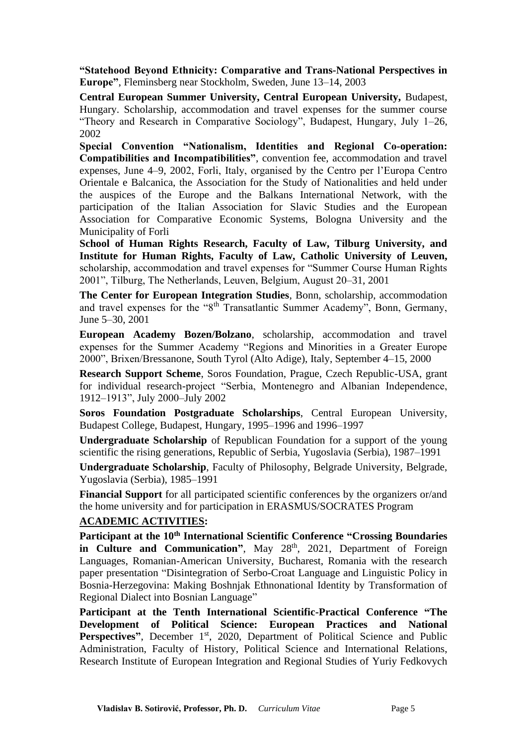**"Statehood Beyond Ethnicity: Comparative and Trans-National Perspectives in Europe"**, Fleminsberg near Stockholm, Sweden, June 13–14, 2003

**Central European Summer University, Central European University,** Budapest, Hungary. Scholarship, accommodation and travel expenses for the summer course "Theory and Research in Comparative Sociology", Budapest, Hungary, July 1–26, 2002

**Special Convention "Nationalism, Identities and Regional Co-operation: Compatibilities and Incompatibilities"**, convention fee, accommodation and travel expenses, June 4–9, 2002, Forli, Italy, organised by the Centro per l'Europa Centro Orientale e Balcanica, the Association for the Study of Nationalities and held under the auspices of the Europe and the Balkans International Network, with the participation of the Italian Association for Slavic Studies and the European Association for Comparative Economic Systems, Bologna University and the Municipality of Forli

**School of Human Rights Research, Faculty of Law, Tilburg University, and Institute for Human Rights, Faculty of Law, Catholic University of Leuven,**  scholarship, accommodation and travel expenses for "Summer Course Human Rights 2001", Tilburg, The Netherlands, Leuven, Belgium, August 20–31, 2001

**The Center for European Integration Studies**, Bonn, scholarship, accommodation and travel expenses for the "8th Transatlantic Summer Academy", Bonn, Germany, June 5–30, 2001

**European Academy Bozen/Bolzano**, scholarship, accommodation and travel expenses for the Summer Academy "Regions and Minorities in a Greater Europe 2000", Brixen/Bressanone, South Tyrol (Alto Adige), Italy, September 4–15, 2000

**Research Support Scheme**, Soros Foundation, Prague, Czech Republic-USA, grant for individual research-project "Serbia, Montenegro and Albanian Independence, 1912–1913", July 2000–July 2002

**Soros Foundation Postgraduate Scholarships**, Central European University, Budapest College, Budapest, Hungary, 1995–1996 and 1996–1997

**Undergraduate Scholarship** of Republican Foundation for a support of the young scientific the rising generations, Republic of Serbia, Yugoslavia (Serbia), 1987–1991

**Undergraduate Scholarship**, Faculty of Philosophy, Belgrade University, Belgrade, Yugoslavia (Serbia), 1985–1991

**Financial Support** for all participated scientific conferences by the organizers or/and the home university and for participation in ERASMUS/SOCRATES Program

#### **ACADEMIC ACTIVITIES:**

**Participant at the 10th International Scientific Conference "Crossing Boundaries**  in Culture and Communication", May 28<sup>th</sup>, 2021, Department of Foreign Languages, Romanian-American University, Bucharest, Romania with the research paper presentation "Disintegration of Serbo-Croat Language and Linguistic Policy in Bosnia-Herzegovina: Making Boshnjak Ethnonational Identity by Transformation of Regional Dialect into Bosnian Language"

**Participant at the Tenth International Scientific-Practical Conference "The Development of Political Science: European Practices and National Perspectives"**, December 1<sup>st</sup>, 2020, Department of Political Science and Public Administration, Faculty of History, Political Science and International Relations, Research Institute of European Integration and Regional Studies of Yuriy Fedkovych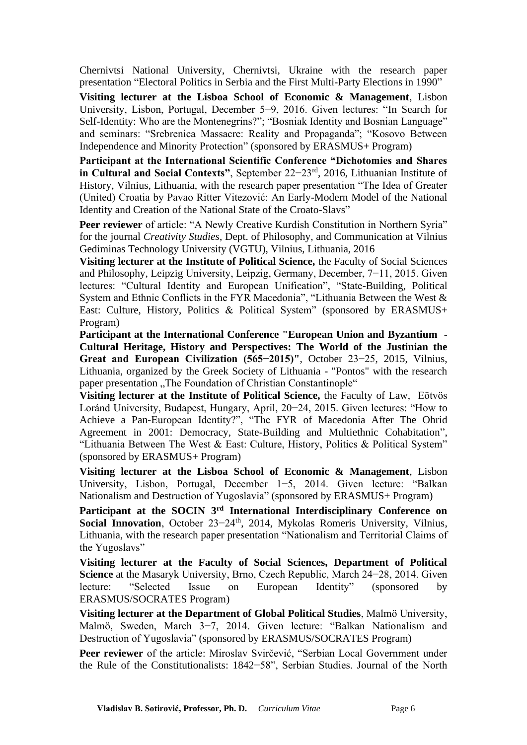Chernivtsi National University, Chernivtsi, Ukraine with the research paper presentation "Electoral Politics in Serbia and the First Multi-Party Elections in 1990"

**Visiting lecturer at the Lisboa School of Economic & Management**, Lisbon University, Lisbon, Portugal, December 5−9, 2016. Given lectures: "In Search for Self-Identity: Who are the Montenegrins?"; "Bosniak Identity and Bosnian Language" and seminars: "Srebrenica Massacre: Reality and Propaganda"; "Kosovo Between Independence and Minority Protection" (sponsored by ERASMUS+ Program)

**Participant at the International Scientific Conference "Dichotomies and Shares in Cultural and Social Contexts"**, September 22−23rd, 2016, Lithuanian Institute of History, Vilnius, Lithuania, with the research paper presentation "The Idea of Greater (United) Croatia by Pavao Ritter Vitezović: An Early-Modern Model of the National Identity and Creation of the National State of the Croato-Slavs"

Peer reviewer of article: "A Newly Creative Kurdish Constitution in Northern Syria" for the journal *Creativity Studies*, Dept. of Philosophy, and Communication at Vilnius Gediminas Technology University (VGTU), Vilnius, Lithuania, 2016

**Visiting lecturer at the Institute of Political Science,** the Faculty of Social Sciences and Philosophy, Leipzig University, Leipzig, Germany, December, 7−11, 2015. Given lectures: "Cultural Identity and European Unification", "State-Building, Political System and Ethnic Conflicts in the FYR Macedonia", "Lithuania Between the West & East: Culture, History, Politics & Political System" (sponsored by ERASMUS+ Program)

**Participant at the International Conference "European Union and Byzantium - Cultural Heritage, History and Perspectives: The World of the Justinian the Great and European Civilization (565−2015)"**, October 23−25, 2015, Vilnius, Lithuania, organized by the Greek Society of Lithuania - "Pontos" with the research paper presentation . The Foundation of Christian Constantinople"

**Visiting lecturer at the Institute of Political Science,** the Faculty of Law, Eötvös Loránd University, Budapest, Hungary, April, 20−24, 2015. Given lectures: "How to Achieve a Pan-European Identity?", "The FYR of Macedonia After The Ohrid Agreement in 2001: Democracy, State-Building and Multiethnic Cohabitation", "Lithuania Between The West & East: Culture, History, Politics & Political System" (sponsored by ERASMUS+ Program)

**Visiting lecturer at the Lisboa School of Economic & Management**, Lisbon University, Lisbon, Portugal, December 1−5, 2014. Given lecture: "Balkan Nationalism and Destruction of Yugoslavia" (sponsored by ERASMUS+ Program)

**Participant at the SOCIN 3rd International Interdisciplinary Conference on**  Social Innovation, October 23-24<sup>th</sup>, 2014, Mykolas Romeris University, Vilnius, Lithuania, with the research paper presentation "Nationalism and Territorial Claims of the Yugoslavs"

**Visiting lecturer at the Faculty of Social Sciences, Department of Political Science** at the Masaryk University, Brno, Czech Republic, March 24−28, 2014. Given lecture: "Selected Issue on European Identity" (sponsored by ERASMUS/SOCRATES Program)

**Visiting lecturer at the Department of Global Political Studies**, Malmö University, Malmö, Sweden, March 3−7, 2014. Given lecture: "Balkan Nationalism and Destruction of Yugoslavia" (sponsored by ERASMUS/SOCRATES Program)

**Peer reviewer** of the article: Miroslav Svirčević, "Serbian Local Government under the Rule of the Constitutionalists: 1842−58", Serbian Studies. Journal of the North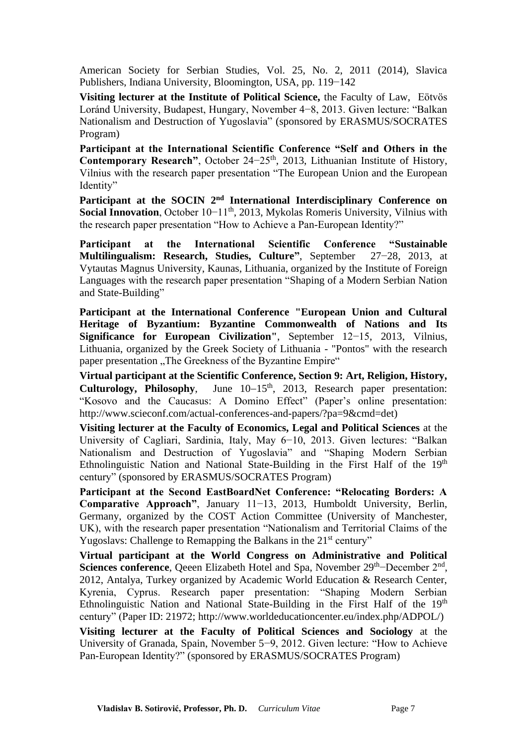American Society for Serbian Studies, Vol. 25, No. 2, 2011 (2014), Slavica Publishers, Indiana University, Bloomington, USA, pp. 119−142

**Visiting lecturer at the Institute of Political Science,** the Faculty of Law, Eötvös Loránd University, Budapest, Hungary, November 4−8, 2013. Given lecture: "Balkan Nationalism and Destruction of Yugoslavia" (sponsored by ERASMUS/SOCRATES Program)

**Participant at the International Scientific Conference "Self and Others in the**  Contemporary Research", October 24–25<sup>th</sup>, 2013, Lithuanian Institute of History, Vilnius with the research paper presentation "The European Union and the European Identity"

**Participant at the SOCIN 2nd International Interdisciplinary Conference on Social Innovation**, October 10−11<sup>th</sup>, 2013, Mykolas Romeris University, Vilnius with the research paper presentation "How to Achieve a Pan-European Identity?"

**Participant at the International Scientific Conference "Sustainable Multilingualism: Research, Studies, Culture"**, September 27−28, 2013, at Vytautas Magnus University, Kaunas, Lithuania, organized by the Institute of Foreign Languages with the research paper presentation "Shaping of a Modern Serbian Nation and State-Building"

**Participant at the International Conference "European Union and Cultural Heritage of Byzantium: Byzantine Commonwealth of Nations and Its Significance for European Civilization"**, September 12−15, 2013, Vilnius, Lithuania, organized by the Greek Society of Lithuania - "Pontos" with the research paper presentation "The Greekness of the Byzantine Empire"

**Virtual participant at the Scientific Conference, Section 9: Art, Religion, History,**  Culturology, Philosophy, June 10–15<sup>th</sup>, 2013, Research paper presentation: "Kosovo and the Caucasus: A Domino Effect" (Paper's online presentation: http://www.scieconf.com/actual-conferences-and-papers/?pa=9&cmd=det)

**Visiting lecturer at the Faculty of Economics, Legal and Political Sciences** at the University of Cagliari, Sardinia, Italy, May 6−10, 2013. Given lectures: "Balkan Nationalism and Destruction of Yugoslavia" and "Shaping Modern Serbian Ethnolinguistic Nation and National State-Building in the First Half of the  $19<sup>th</sup>$ century" (sponsored by ERASMUS/SOCRATES Program)

**Participant at the Second EastBoardNet Conference: "Relocating Borders: A Comparative Approach"**, January 11−13, 2013, Humboldt University, Berlin, Germany, organized by the COST Action Committee (University of Manchester, UK), with the research paper presentation "Nationalism and Territorial Claims of the Yugoslavs: Challenge to Remapping the Balkans in the 21<sup>st</sup> century"

**Virtual participant at the World Congress on Administrative and Political**  Sciences conference, Qeeen Elizabeth Hotel and Spa, November 29<sup>th</sup>–December 2<sup>nd</sup>, 2012, Antalya, Turkey organized by Academic World Education & Research Center, Kyrenia, Cyprus. Research paper presentation: "Shaping Modern Serbian Ethnolinguistic Nation and National State-Building in the First Half of the  $19<sup>th</sup>$ century" (Paper ID: 21972; http://www.worldeducationcenter.eu/index.php/ADPOL/)

**Visiting lecturer at the Faculty of Political Sciences and Sociology** at the University of Granada, Spain, November 5−9, 2012. Given lecture: "How to Achieve Pan-European Identity?" (sponsored by ERASMUS/SOCRATES Program)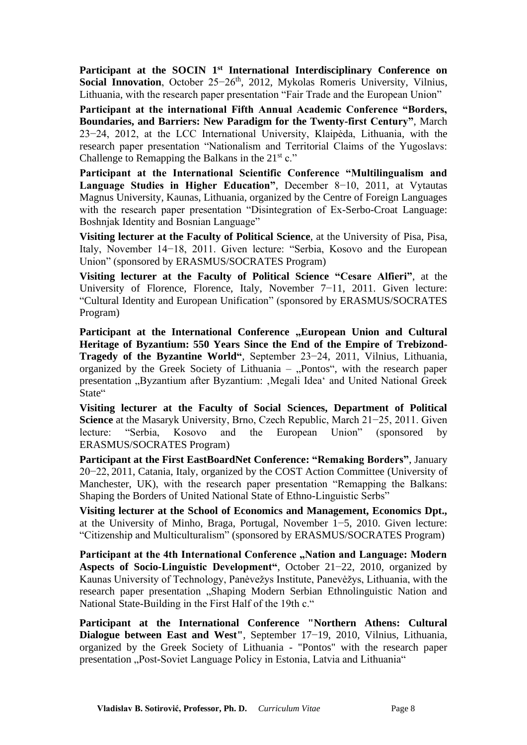**Participant at the SOCIN 1st International Interdisciplinary Conference on**  Social Innovation, October 25–26<sup>th</sup>, 2012, Mykolas Romeris University, Vilnius, Lithuania, with the research paper presentation "Fair Trade and the European Union"

**Participant at the international Fifth Annual Academic Conference "Borders, Boundaries, and Barriers: New Paradigm for the Twenty-first Century"**, March 23−24, 2012, at the LCC International University, Klaipėda, Lithuania, with the research paper presentation "Nationalism and Territorial Claims of the Yugoslavs: Challenge to Remapping the Balkans in the  $21^{st}$  c."

**Participant at the International Scientific Conference "Multilingualism and Language Studies in Higher Education"**, December 8−10, 2011, at Vytautas Magnus University, Kaunas, Lithuania, organized by the Centre of Foreign Languages with the research paper presentation "Disintegration of Ex-Serbo-Croat Language: Boshnjak Identity and Bosnian Language"

**Visiting lecturer at the Faculty of Political Science**, at the University of Pisa, Pisa, Italy, November 14−18, 2011. Given lecture: "Serbia, Kosovo and the European Union" (sponsored by ERASMUS/SOCRATES Program)

**Visiting lecturer at the Faculty of Political Science "Cesare Alfieri"**, at the University of Florence, Florence, Italy, November 7−11, 2011. Given lecture: "Cultural Identity and European Unification" (sponsored by ERASMUS/SOCRATES Program)

Participant at the International Conference "European Union and Cultural **Heritage of Byzantium: 550 Years Since the End of the Empire of Trebizond-Tragedy of the Byzantine World"**, September 23−24, 2011, Vilnius, Lithuania, organized by the Greek Society of Lithuania  $-$  "Pontos", with the research paper presentation "Byzantium after Byzantium: "Megali Idea' and United National Greek State"

**Visiting lecturer at the Faculty of Social Sciences, Department of Political Science** at the Masaryk University, Brno, Czech Republic, March 21−25, 2011. Given lecture: "Serbia, Kosovo and the European Union" (sponsored by ERASMUS/SOCRATES Program)

**Participant at the First EastBoardNet Conference: "Remaking Borders"**, January 20−22, 2011, Catania, Italy, organized by the COST Action Committee (University of Manchester, UK), with the research paper presentation "Remapping the Balkans: Shaping the Borders of United National State of Ethno-Linguistic Serbs"

**Visiting lecturer at the School of Economics and Management, Economics Dpt.,**  at the University of Minho, Braga, Portugal, November 1−5, 2010. Given lecture: "Citizenship and Multiculturalism" (sponsored by ERASMUS/SOCRATES Program)

Participant at the 4th International Conference "Nation and Language: Modern **Aspects of Socio-Linguistic Development"**, October 21−22, 2010, organized by Kaunas University of Technology, Panėvežys Institute, Panevėžys, Lithuania, with the research paper presentation "Shaping Modern Serbian Ethnolinguistic Nation and National State-Building in the First Half of the 19th c."

**Participant at the International Conference "Northern Athens: Cultural Dialogue between East and West"**, September 17−19, 2010, Vilnius, Lithuania, organized by the Greek Society of Lithuania - "Pontos" with the research paper presentation "Post-Soviet Language Policy in Estonia, Latvia and Lithuania"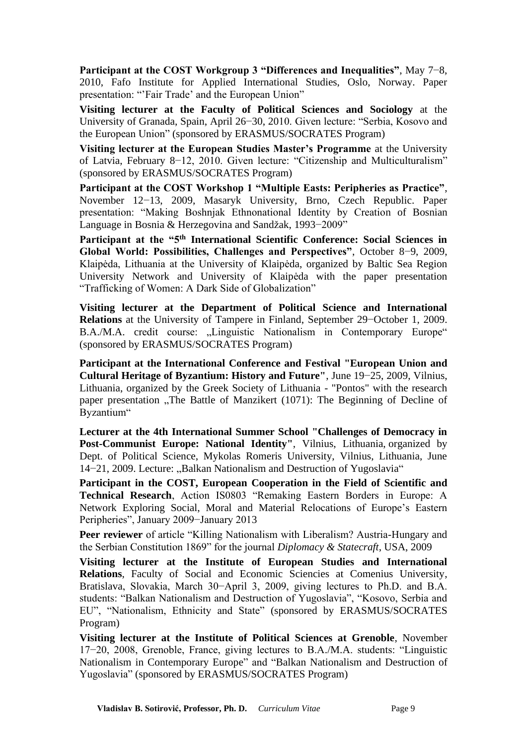**Participant at the COST Workgroup 3 "Differences and Inequalities"**, May 7−8, 2010, Fafo Institute for Applied International Studies, Oslo, Norway. Paper presentation: "'Fair Trade' and the European Union"

**Visiting lecturer at the Faculty of Political Sciences and Sociology** at the University of Granada, Spain, April 26−30, 2010. Given lecture: "Serbia, Kosovo and the European Union" (sponsored by ERASMUS/SOCRATES Program)

**Visiting lecturer at the European Studies Master's Programme** at the University of Latvia, February 8−12, 2010. Given lecture: "Citizenship and Multiculturalism" (sponsored by ERASMUS/SOCRATES Program)

**Participant at the COST Workshop 1 "Multiple Easts: Peripheries as Practice"**, November 12−13, 2009, Masaryk University, Brno, Czech Republic. Paper presentation: "Making Boshnjak Ethnonational Identity by Creation of Bosnian Language in Bosnia & Herzegovina and Sandžak, 1993−2009"

**Participant at the "5th International Scientific Conference: Social Sciences in Global World: Possibilities, Challenges and Perspectives"**, October 8−9, 2009, Klaipėda, Lithuania at the University of Klaipėda, organized by Baltic Sea Region University Network and University of Klaipėda with the paper presentation "Trafficking of Women: A Dark Side of Globalization"

**Visiting lecturer at the Department of Political Science and International Relations** at the University of Tampere in Finland, September 29−October 1, 2009. B.A./M.A. credit course: "Linguistic Nationalism in Contemporary Europe" (sponsored by ERASMUS/SOCRATES Program)

**Participant at the International Conference and Festival "European Union and Cultural Heritage of Byzantium: History and Future"**, June 19−25, 2009, Vilnius, Lithuania, organized by the Greek Society of Lithuania - "Pontos" with the research paper presentation "The Battle of Manzikert (1071): The Beginning of Decline of Byzantium"

**Lecturer at the 4th International Summer School "Challenges of Democracy in Post-Communist Europe: National Identity"**, Vilnius, Lithuania, organized by Dept. of Political Science, Mykolas Romeris University, Vilnius, Lithuania, June 14−21, 2009. Lecture: "Balkan Nationalism and Destruction of Yugoslavia"

**Participant in the COST, European Cooperation in the Field of Scientific and Technical Research**, Action IS0803 "Remaking Eastern Borders in Europe: A Network Exploring Social, Moral and Material Relocations of Europe's Eastern Peripheries", January 2009−January 2013

**Peer reviewer** of article "Killing Nationalism with Liberalism? Austria-Hungary and the Serbian Constitution 1869" for the journal *Diplomacy & Statecraft*, USA, 2009

**Visiting lecturer at the Institute of European Studies and International Relations**, Faculty of Social and Economic Sciencies at Comenius University, Bratislava, Slovakia, March 30−April 3, 2009, giving lectures to Ph.D. and B.A. students: "Balkan Nationalism and Destruction of Yugoslavia", "Kosovo, Serbia and EU", "Nationalism, Ethnicity and State" (sponsored by ERASMUS/SOCRATES Program)

**Visiting lecturer at the Institute of Political Sciences at Grenoble**, November 17−20, 2008, Grenoble, France, giving lectures to B.A./M.A. students: "Linguistic Nationalism in Contemporary Europe" and "Balkan Nationalism and Destruction of Yugoslavia" (sponsored by ERASMUS/SOCRATES Program)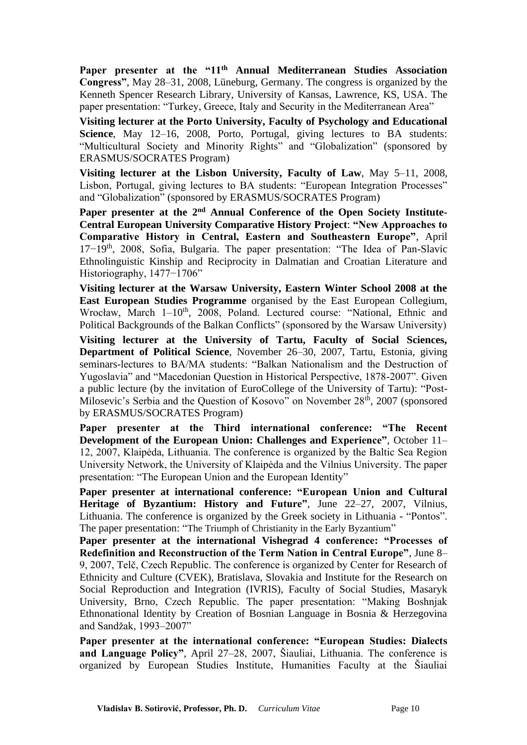**Paper presenter at the "11th Annual Mediterranean Studies Association Congress"**, May 28–31, 2008, Lüneburg, Germany. The congress is organized by the Kenneth Spencer Research Library, University of Kansas, Lawrence, KS, USA. The paper presentation: "Turkey, Greece, Italy and Security in the Mediterranean Area"

**Visiting lecturer at the Porto University, Faculty of Psychology and Educational Science**, May 12–16, 2008, Porto, Portugal, giving lectures to BA students: "Multicultural Society and Minority Rights" and "Globalization" (sponsored by ERASMUS/SOCRATES Program)

**Visiting lecturer at the Lisbon University, Faculty of Law**, May 5–11, 2008, Lisbon, Portugal, giving lectures to BA students: "European Integration Processes" and "Globalization" (sponsored by ERASMUS/SOCRATES Program)

**Paper presenter at the 2nd Annual Conference of the Open Society Institute-Central European University Comparative History Project**: **"New Approaches to Comparative History in Central, Eastern and Southeastern Europe"**, April 17−19th, 2008, Sofia, Bulgaria. The paper presentation: "The Idea of Pan-Slavic Ethnolinguistic Kinship and Reciprocity in Dalmatian and Croatian Literature and Historiography, 1477−1706"

**Visiting lecturer at the Warsaw University, Eastern Winter School 2008 at the East European Studies Programme** organised by the East European Collegium, Wrocław, March 1-10<sup>th</sup>, 2008, Poland. Lectured course: "National, Ethnic and Political Backgrounds of the Balkan Conflicts" (sponsored by the Warsaw University)

**Visiting lecturer at the University of Tartu, Faculty of Social Sciences, Department of Political Science**, November 26–30, 2007, Tartu, Estonia, giving seminars-lectures to BA/MA students: "Balkan Nationalism and the Destruction of Yugoslavia" and "Macedonian Question in Historical Perspective, 1878-2007". Given a public lecture (by the invitation of EuroCollege of the University of Tartu): "Post-Milosevic's Serbia and the Question of Kosovo" on November 28<sup>th</sup>, 2007 (sponsored by ERASMUS/SOCRATES Program)

**Paper presenter at the Third international conference: "The Recent Development of the European Union: Challenges and Experience"**, October 11– 12, 2007, Klaipėda, Lithuania. The conference is organized by the Baltic Sea Region University Network, the University of Klaipėda and the Vilnius University. The paper presentation: "The European Union and the European Identity"

**Paper presenter at international conference: "European Union and Cultural Heritage of Byzantium: History and Future"**, June 22–27, 2007, Vilnius, Lithuania. The conference is organized by the Greek society in Lithuania - "Pontos". The paper presentation: "The Triumph of Christianity in the Early Byzantium"

**Paper presenter at the international Vishegrad 4 conference: "Processes of Redefinition and Reconstruction of the Term Nation in Central Europe"**, June 8– 9, 2007, Telč, Czech Republic. The conference is organized by Center for Research of Ethnicity and Culture (CVEK), Bratislava, Slovakia and Institute for the Research on Social Reproduction and Integration (IVRIS), Faculty of Social Studies, Masaryk University, Brno, Czech Republic. The paper presentation: "Making Boshnjak Ethnonational Identity by Creation of Bosnian Language in Bosnia & Herzegovina and Sandžak, 1993–2007"

**Paper presenter at the international conference: "European Studies: Dialects and Language Policy"**, April 27–28, 2007, Šiauliai, Lithuania. The conference is organized by European Studies Institute, Humanities Faculty at the Šiauliai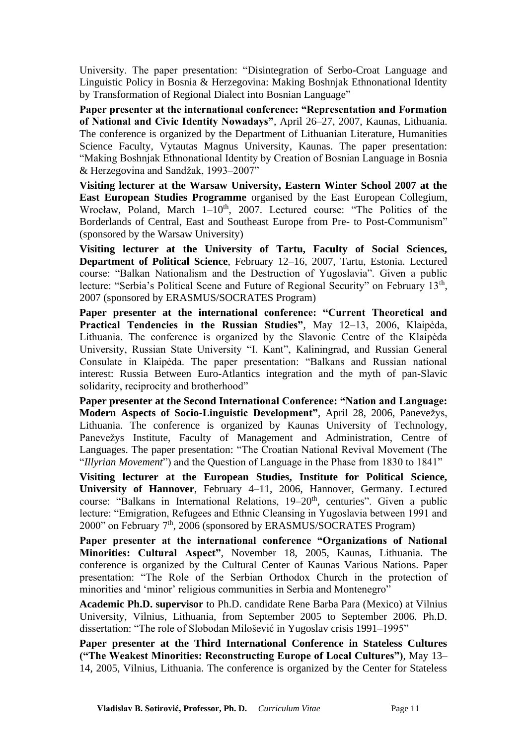University. The paper presentation: "Disintegration of Serbo-Croat Language and Linguistic Policy in Bosnia & Herzegovina: Making Boshnjak Ethnonational Identity by Transformation of Regional Dialect into Bosnian Language"

**Paper presenter at the international conference: "Representation and Formation of National and Civic Identity Nowadays"**, April 26–27, 2007, Kaunas, Lithuania. The conference is organized by the Department of Lithuanian Literature, Humanities Science Faculty, Vytautas Magnus University, Kaunas. The paper presentation: "Making Boshnjak Ethnonational Identity by Creation of Bosnian Language in Bosnia & Herzegovina and Sandžak, 1993–2007"

**Visiting lecturer at the Warsaw University, Eastern Winter School 2007 at the East European Studies Programme** organised by the East European Collegium, Wrocław, Poland, March 1–10<sup>th</sup>, 2007. Lectured course: "The Politics of the Borderlands of Central, East and Southeast Europe from Pre- to Post-Communism" (sponsored by the Warsaw University)

**Visiting lecturer at the University of Tartu, Faculty of Social Sciences, Department of Political Science**, February 12–16, 2007, Tartu, Estonia. Lectured course: "Balkan Nationalism and the Destruction of Yugoslavia". Given a public lecture: "Serbia's Political Scene and Future of Regional Security" on February 13<sup>th</sup>, 2007 (sponsored by ERASMUS/SOCRATES Program)

**Paper presenter at the international conference: "Current Theoretical and Practical Tendencies in the Russian Studies"**, May 12–13, 2006, Klaipėda, Lithuania. The conference is organized by the Slavonic Centre of the Klaipėda University, Russian State University "I. Kant", Kaliningrad, and Russian General Consulate in Klaipėda. The paper presentation: "Balkans and Russian national interest: Russia Between Euro-Atlantics integration and the myth of pan-Slavic solidarity, reciprocity and brotherhood"

**Paper presenter at the Second International Conference: "Nation and Language: Modern Aspects of Socio-Linguistic Development"**, April 28, 2006, Panevežys, Lithuania. The conference is organized by Kaunas University of Technology, Panevežys Institute, Faculty of Management and Administration, Centre of Languages. The paper presentation: "The Croatian National Revival Movement (The "*Illyrian Movement*") and the Question of Language in the Phase from 1830 to 1841"

**Visiting lecturer at the European Studies, Institute for Political Science, University of Hannover**, February 4–11, 2006, Hannover, Germany. Lectured course: "Balkans in International Relations, 19-20<sup>th</sup>, centuries". Given a public lecture: "Emigration, Refugees and Ethnic Cleansing in Yugoslavia between 1991 and 2000" on February 7<sup>th</sup>, 2006 (sponsored by ERASMUS/SOCRATES Program)

**Paper presenter at the international conference "Organizations of National Minorities: Cultural Aspect"**, November 18, 2005, Kaunas, Lithuania. The conference is organized by the Cultural Center of Kaunas Various Nations. Paper presentation: "The Role of the Serbian Orthodox Church in the protection of minorities and 'minor' religious communities in Serbia and Montenegro"

**Academic Ph.D. supervisor** to Ph.D. candidate Rene Barba Para (Mexico) at Vilnius University, Vilnius, Lithuania, from September 2005 to September 2006. Ph.D. dissertation: "The role of Slobodan Milošević in Yugoslav crisis 1991–1995"

**Paper presenter at the Third International Conference in Stateless Cultures ("The Weakest Minorities: Reconstructing Europe of Local Cultures")**, May 13– 14, 2005, Vilnius, Lithuania. The conference is organized by the Center for Stateless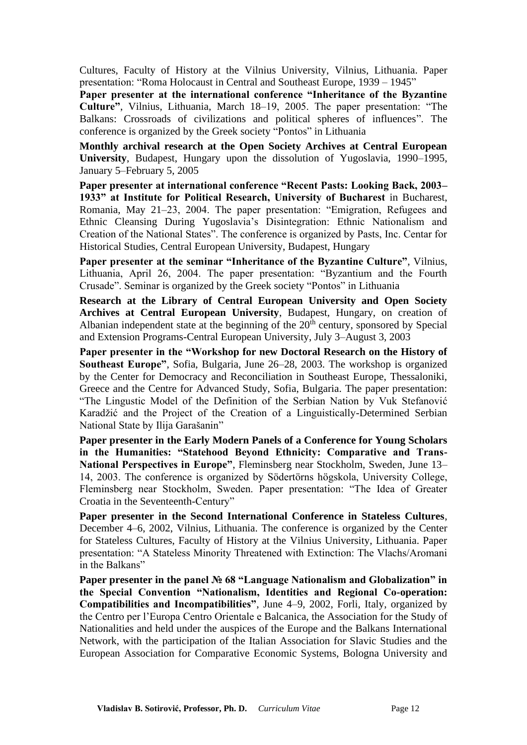Cultures, Faculty of History at the Vilnius University, Vilnius, Lithuania. Paper presentation: "Roma Holocaust in Central and Southeast Europe, 1939 – 1945"

**Paper presenter at the international conference "Inheritance of the Byzantine Culture"**, Vilnius, Lithuania, March 18–19, 2005. The paper presentation: "The Balkans: Crossroads of civilizations and political spheres of influences". The conference is organized by the Greek society "Pontos" in Lithuania

**Monthly archival research at the Open Society Archives at Central European University**, Budapest, Hungary upon the dissolution of Yugoslavia, 1990–1995, January 5–February 5, 2005

**Paper presenter at international conference "Recent Pasts: Looking Back, 2003– 1933" at Institute for Political Research, University of Bucharest** in Bucharest, Romania, May 21–23, 2004. The paper presentation: "Emigration, Refugees and Ethnic Cleansing During Yugoslavia's Disintegration: Ethnic Nationalism and Creation of the National States". The conference is organized by Pasts, Inc. Centar for Historical Studies, Central European University, Budapest, Hungary

**Paper presenter at the seminar "Inheritance of the Byzantine Culture"**, Vilnius, Lithuania, April 26, 2004. The paper presentation: "Byzantium and the Fourth Crusade". Seminar is organized by the Greek society "Pontos" in Lithuania

**Research at the Library of Central European University and Open Society Archives at Central European University**, Budapest, Hungary, on creation of Albanian independent state at the beginning of the  $20<sup>th</sup>$  century, sponsored by Special and Extension Programs-Central European University, July 3–August 3, 2003

**Paper presenter in the "Workshop for new Doctoral Research on the History of Southeast Europe"**, Sofia, Bulgaria, June 26–28, 2003. The workshop is organized by the Center for Democracy and Reconciliation in Southeast Europe, Thessaloniki, Greece and the Centre for Advanced Study, Sofia, Bulgaria. The paper presentation: "The Lingustic Model of the Definition of the Serbian Nation by Vuk Stefanović Karadžić and the Project of the Creation of a Linguistically-Determined Serbian National State by Ilija Garašanin"

**Paper presenter in the Early Modern Panels of a Conference for Young Scholars in the Humanities: "Statehood Beyond Ethnicity: Comparative and Trans-National Perspectives in Europe"**, Fleminsberg near Stockholm, Sweden, June 13– 14, 2003. The conference is organized by Södertörns högskola, University College, Fleminsberg near Stockholm, Sweden. Paper presentation: "The Idea of Greater Croatia in the Seventeenth-Century"

**Paper presenter in the Second International Conference in Stateless Cultures**, December 4–6, 2002, Vilnius, Lithuania. The conference is organized by the Center for Stateless Cultures, Faculty of History at the Vilnius University, Lithuania. Paper presentation: "A Stateless Minority Threatened with Extinction: The Vlachs/Aromani in the Balkans"

**Paper presenter in the panel № 68 "Language Nationalism and Globalization" in the Special Convention "Nationalism, Identities and Regional Co-operation: Compatibilities and Incompatibilities"**, June 4–9, 2002, Forli, Italy, organized by the Centro per l'Europa Centro Orientale e Balcanica, the Association for the Study of Nationalities and held under the auspices of the Europe and the Balkans International Network, with the participation of the Italian Association for Slavic Studies and the European Association for Comparative Economic Systems, Bologna University and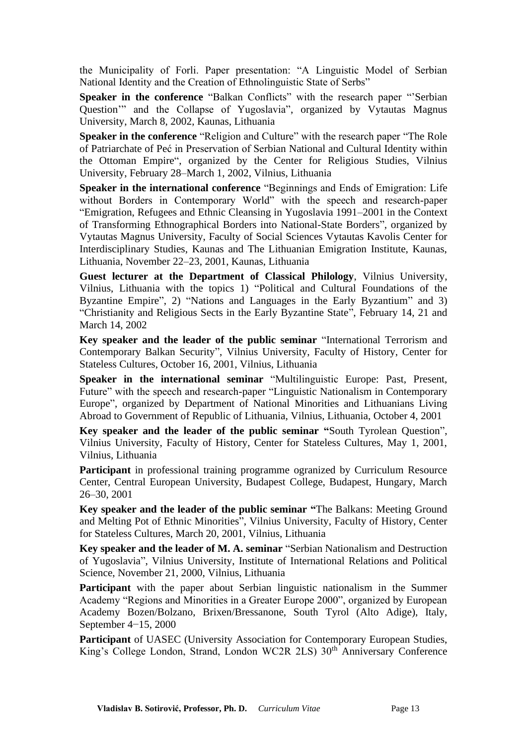the Municipality of Forli. Paper presentation: "A Linguistic Model of Serbian National Identity and the Creation of Ethnolinguistic State of Serbs"

**Speaker in the conference** "Balkan Conflicts" with the research paper "'Serbian Question'" and the Collapse of Yugoslavia", organized by Vytautas Magnus University, March 8, 2002, Kaunas, Lithuania

**Speaker in the conference** "Religion and Culture" with the research paper "The Role of Patriarchate of Peć in Preservation of Serbian National and Cultural Identity within the Ottoman Empire", organized by the Center for Religious Studies, Vilnius University, February 28–March 1, 2002, Vilnius, Lithuania

**Speaker in the international conference** "Beginnings and Ends of Emigration: Life without Borders in Contemporary World" with the speech and research-paper "Emigration, Refugees and Ethnic Cleansing in Yugoslavia 1991–2001 in the Context of Transforming Ethnographical Borders into National-State Borders", organized by Vytautas Magnus University, Faculty of Social Sciences Vytautas Kavolis Center for Interdisciplinary Studies, Kaunas and The Lithuanian Emigration Institute, Kaunas, Lithuania, November 22–23, 2001, Kaunas, Lithuania

**Guest lecturer at the Department of Classical Philology**, Vilnius University, Vilnius, Lithuania with the topics 1) "Political and Cultural Foundations of the Byzantine Empire", 2) "Nations and Languages in the Early Byzantium" and 3) "Christianity and Religious Sects in the Early Byzantine State", February 14, 21 and March 14, 2002

**Key speaker and the leader of the public seminar** "International Terrorism and Contemporary Balkan Security", Vilnius University, Faculty of History, Center for Stateless Cultures, October 16, 2001, Vilnius, Lithuania

**Speaker in the international seminar** "Multilinguistic Europe: Past, Present, Future" with the speech and research-paper "Linguistic Nationalism in Contemporary Europe", organized by Department of National Minorities and Lithuanians Living Abroad to Government of Republic of Lithuania, Vilnius, Lithuania, October 4, 2001

**Key speaker and the leader of the public seminar "**South Tyrolean Question", Vilnius University, Faculty of History, Center for Stateless Cultures, May 1, 2001, Vilnius, Lithuania

**Participant** in professional training programme ogranized by Curriculum Resource Center, Central European University, Budapest College, Budapest, Hungary, March 26–30, 2001

**Key speaker and the leader of the public seminar "**The Balkans: Meeting Ground and Melting Pot of Ethnic Minorities", Vilnius University, Faculty of History, Center for Stateless Cultures, March 20, 2001, Vilnius, Lithuania

**Key speaker and the leader of M. A. seminar** "Serbian Nationalism and Destruction of Yugoslavia", Vilnius University, Institute of International Relations and Political Science, November 21, 2000, Vilnius, Lithuania

**Participant** with the paper about Serbian linguistic nationalism in the Summer Academy "Regions and Minorities in a Greater Europe 2000", organized by European Academy Bozen/Bolzano, Brixen/Bressanone, South Tyrol (Alto Adige), Italy, September 4−15, 2000

**Participant** of UASEC (University Association for Contemporary European Studies, King's College London, Strand, London WC2R 2LS) 30<sup>th</sup> Anniversary Conference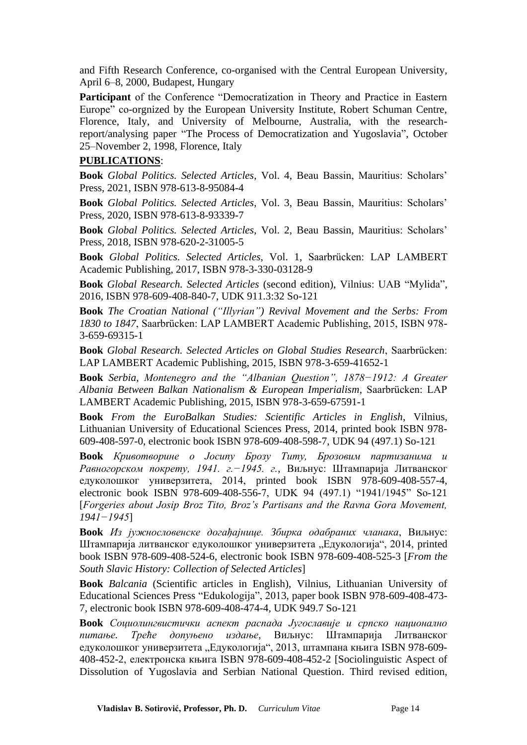and Fifth Research Conference, co-organised with the Central European University, April 6–8, 2000, Budapest, Hungary

**Participant** of the Conference "Democratization in Theory and Practice in Eastern Europe" co-orgnized by the European University Institute, Robert Schuman Centre, Florence, Italy, and University of Melbourne, Australia, with the researchreport/analysing paper "The Process of Democratization and Yugoslavia", October 25–November 2, 1998, Florence, Italy

#### **PUBLICATIONS**:

**Book** *Global Politics. Selected Articles*, Vol. 4, Beau Bassin, Mauritius: Scholars' Press, 2021, ISBN 978-613-8-95084-4

**Book** *Global Politics. Selected Articles*, Vol. 3, Beau Bassin, Mauritius: Scholars' Press, 2020, ISBN 978-613-8-93339-7

**Book** *Global Politics. Selected Articles*, Vol. 2, Beau Bassin, Mauritius: Scholars' Press, 2018, ISBN 978-620-2-31005-5

**Book** *Global Politics. Selected Articles*, Vol. 1, Saarbrücken: LAP LAMBERT Academic Publishing, 2017, ISBN 978-3-330-03128-9

**Book** *Global Research. Selected Articles* (second edition), Vilnius: UAB "Mylida", 2016, ISBN 978-609-408-840-7, UDK 911.3:32 So-121

**Book** *The Croatian National ("Illyrian") Revival Movement and the Serbs: From 1830 to 1847*, Saarbrücken: LAP LAMBERT Academic Publishing, 2015, ISBN 978- 3-659-69315-1

**Book** *Global Research. Selected Articles on Global Studies Research*, Saarbrücken: LAP LAMBERT Academic Publishing, 2015, ISBN 978-3-659-41652-1

**Book** *Serbia, Montenegro and the "Albanian Question", 1878−1912: A Greater Albania Between Balkan Nationalism & European Imperialism*, Saarbrücken: LAP LAMBERT Academic Publishing, 2015, ISBN 978-3-659-67591-1

**Book** *From the EuroBalkan Studies: Scientific Articles in English*, Vilnius, Lithuanian University of Educational Sciences Press, 2014, printed book ISBN 978- 609-408-597-0, electronic book ISBN 978-609-408-598-7, UDK 94 (497.1) So-121

**Book** *Кривотворине о Јосипу Брозу Титу, Брозовим партизанима и Равногорском покрету, 1941. г.−1945. г.*, Виљнус: Штампарија Литванског едуколошког универзитета, 2014, printed book ISBN 978-609-408-557-4, electronic book ISBN 978-609-408-556-7, UDK 94 (497.1) "1941/1945" So-121 [*Forgeries about Josip Broz Tito, Broz's Partisans and the Ravna Gora Movement, 1941−1945*]

**Book** *Из јужнословенске догађајнице. Збирка одабраних чланака*, Виљнус: Штампарија литванског едуколошког универзитета "Едукологија", 2014, printed book ISBN 978-609-408-524-6, electronic book ISBN 978-609-408-525-3 [*From the South Slavic History: Collection of Selected Articles*]

**Book** *Balcania* (Scientific articles in English), Vilnius, Lithuanian University of Educational Sciences Press "Edukologija", 2013, paper book ISBN 978-609-408-473- 7, electronic book ISBN 978-609-408-474-4, UDK 949.7 So-121

**Book** *Социолингвистички аспект распада Југославије и српско национално питање. Треће допуњено издање*, Виљнус: Штампарија Литванског едуколошког универзитета "Едукологија", 2013, штампана књига ISBN 978-609-408-452-2, електронска књига ISBN 978-609-408-452-2 [Sociolinguistic Aspect of Dissolution of Yugoslavia and Serbian National Question. Third revised edition,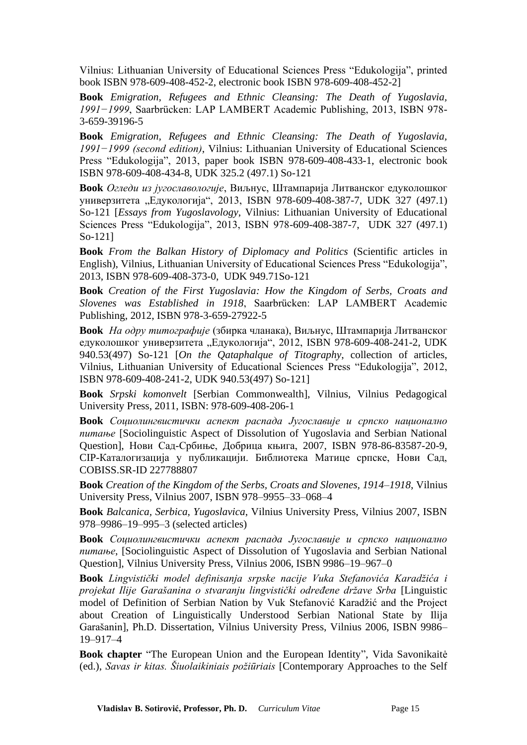Vilnius: Lithuanian University of Educational Sciences Press "Edukologija", printed book ISBN 978-609-408-452-2, electronic book ISBN 978-609-408-452-2]

**Book** *Emigration, Refugees and Ethnic Cleansing: The Death of Yugoslavia, 1991−1999*, Saarbrücken: LAP LAMBERT Academic Publishing, 2013, ISBN 978- 3-659-39196-5

**Book** *Emigration, Refugees and Ethnic Cleansing: The Death of Yugoslavia, 1991−1999 (second edition)*, Vilnius: Lithuanian University of Educational Sciences Press "Edukologija", 2013, paper book ISBN 978-609-408-433-1, electronic book ISBN 978-609-408-434-8, UDK 325.2 (497.1) So-121

**Book** *Огледи из југославологије*, Виљнус, Штампарија Литванског едуколошког универзитета "Едукологија", 2013, ISBN 978-609-408-387-7, UDK 327 (497.1) So-121 [*Essays from Yugoslavology*, Vilnius: Lithuanian University of Educational Sciences Press "Edukologija", 2013, ISBN 978-609-408-387-7, UDK 327 (497.1) So-121]

**Book** *From the Balkan History of Diplomacy and Politics* (Scientific articles in English), Vilnius, Lithuanian University of Educational Sciences Press "Edukologija", 2013, ISBN 978-609-408-373-0, UDK 949.71So-121

**Book** *Creation of the First Yugoslavia: How the Kingdom of Serbs, Croats and Slovenes was Established in 1918*, Saarbrücken: LAP LAMBERT Academic Publishing, 2012, ISBN 978-3-659-27922-5

**Book** *На одру титографије* (збирка чланака), Виљнус, Штампарија Литванског едуколошког универзитета "Едукологија", 2012, ISBN 978-609-408-241-2, UDK 940.53(497) So-121 [*On the Qataphalque of Titography*, collection of articles, Vilnius, Lithuanian University of Educational Sciences Press "Edukologija", 2012, ISBN 978-609-408-241-2, UDK 940.53(497) So-121]

**Book** *Srpski komonvelt* [Serbian Commonwealth], Vilnius, Vilnius Pedagogical University Press, 2011, ISBN: 978-609-408-206-1

**Book** *Социолингвистички аспект распада Југославије и српско национално питање* [Sociolinguistic Aspect of Dissolution of Yugoslavia and Serbian National Question], Нови Сад-Србиње, Добрица књига, 2007, ISBN 978-86-83587-20-9, CIP-Каталогизација у публикацији. Библиотека Матице српске, Нови Сад, COBISS.SR-ID 227788807

**Book** *Creation of the Kingdom of the Serbs, Croats and Slovenes, 1914–1918*, Vilnius University Press, Vilnius 2007, ISBN 978–9955–33–068–4

**Book** *Balcanica, Serbica, Yugoslavica*, Vilnius University Press, Vilnius 2007, ISBN 978–9986–19–995–3 (selected articles)

**Book** *Социолингвистички аспект распада Југославије и српско национално питање*, [Sociolinguistic Aspect of Dissolution of Yugoslavia and Serbian National Question], Vilnius University Press, Vilnius 2006, ISBN 9986–19–967–0

**Book** *Lingvistički model definisanja srpske nacije Vuka Stefanovića Karadžića i projekat Ilije Garašanina o stvaranju lingvistički određene države Srba* [Linguistic model of Definition of Serbian Nation by Vuk Stefanović Karadžić and the Project about Creation of Linguistically Understood Serbian National State by Ilija Garašanin], Ph.D. Dissertation, Vilnius University Press, Vilnius 2006, ISBN 9986– 19–917–4

**Book chapter** "The European Union and the European Identity", Vida Savonikaitė (ed.), *Savas ir kitas. Šiuolaikiniais požiūriais* [Contemporary Approaches to the Self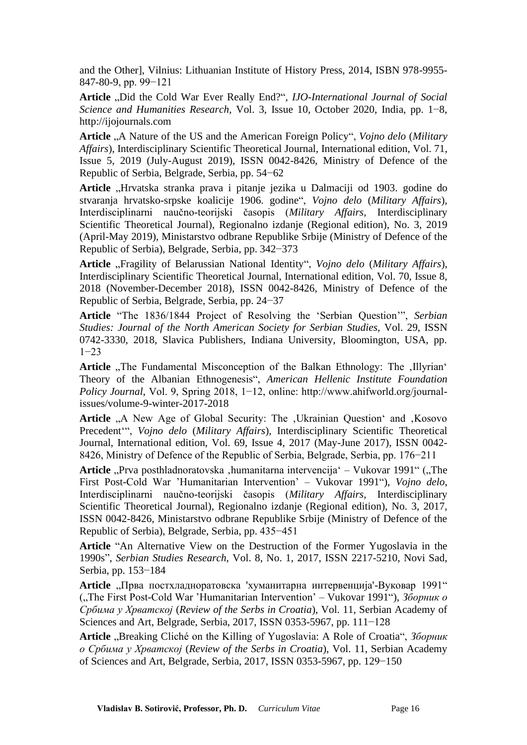and the Other], Vilnius: Lithuanian Institute of History Press, 2014, ISBN 978-9955- 847-80-9, pp. 99−121

Article "Did the Cold War Ever Really End?", *IJO-International Journal of Social Science and Humanities Research*, Vol. 3, Issue 10, October 2020, India, pp. 1−8, http://ijojournals.com

**Article** "A Nature of the US and the American Foreign Policy", *Vojno delo* (*Military Affairs*), Interdisciplinary Scientific Theoretical Journal, International edition, Vol. 71, Issue 5, 2019 (July-August 2019), ISSN 0042-8426, Ministry of Defence of the Republic of Serbia, Belgrade, Serbia, pp. 54−62

Article "Hrvatska stranka prava i pitanje jezika u Dalmaciji od 1903. godine do stvaranja hrvatsko-srpske koalicije 1906. godine", *Vojno delo* (*Military Affairs*), Interdisciplinarni naučno-teorijski časopis (*Military Affairs*, Interdisciplinary Scientific Theoretical Journal), Regionalno izdanje (Regional edition), No. 3, 2019 (April-May 2019), Ministarstvo odbrane Republike Srbije (Ministry of Defence of the Republic of Serbia), Belgrade, Serbia, pp. 342−373

Article "Fragility of Belarussian National Identity", Vojno delo (Military Affairs), Interdisciplinary Scientific Theoretical Journal, International edition, Vol. 70, Issue 8, 2018 (November-December 2018), ISSN 0042-8426, Ministry of Defence of the Republic of Serbia, Belgrade, Serbia, pp. 24−37

**Article** "The 1836/1844 Project of Resolving the 'Serbian Question'", *Serbian Studies: Journal of the North American Society for Serbian Studies*, Vol. 29, ISSN 0742-3330, 2018, Slavica Publishers, Indiana University, Bloomington, USA, pp. 1−23

Article "The Fundamental Misconception of the Balkan Ethnology: The .Illyrian' Theory of the Albanian Ethnogenesis", *American Hellenic Institute Foundation Policy Journal*, Vol. 9, Spring 2018, 1−12, online: http://www.ahifworld.org/journalissues/volume-9-winter-2017-2018

Article "A New Age of Global Security: The , Ukrainian Question' and , Kosovo Precedent'", *Vojno delo* (*Military Affairs*), Interdisciplinary Scientific Theoretical Journal, International edition, Vol. 69, Issue 4, 2017 (May-June 2017), ISSN 0042- 8426, Ministry of Defence of the Republic of Serbia, Belgrade, Serbia, pp. 176−211

Article "Prva posthladnoratovska ,humanitarna intervencija" – Vukovar 1991" ("The First Post-Cold War 'Humanitarian Intervention' – Vukovar 1991"), *Vojno delo*, Interdisciplinarni naučno-teorijski časopis (*Military Affairs*, Interdisciplinary Scientific Theoretical Journal), Regionalno izdanje (Regional edition), No. 3, 2017, ISSN 0042-8426, Ministarstvo odbrane Republike Srbije (Ministry of Defence of the Republic of Serbia), Belgrade, Serbia, pp. 435−451

**Article** "An Alternative View on the Destruction of the Former Yugoslavia in the 1990s", *Serbian Studies Research*, Vol. 8, No. 1, 2017, ISSN 2217-5210, Novi Sad, Serbia, pp. 153−184

Article "Прва постхладноратовска 'хуманитарна интервенција'-Вуковар 1991" ("The First Post-Cold War 'Humanitarian Intervention' – Vukovar 1991"), *Зборник о Србима у Хрватској* (*Review of the Serbs in Croatia*), Vol. 11, Serbian Academy of Sciences and Art, Belgrade, Serbia, 2017, ISSN 0353-5967, pp. 111−128

Article "Breaking Cliché on the Killing of Yugoslavia: A Role of Croatia", *Зборник о Србима у Хрватској* (*Review of the Serbs in Croatia*), Vol. 11, Serbian Academy of Sciences and Art, Belgrade, Serbia, 2017, ISSN 0353-5967, pp. 129−150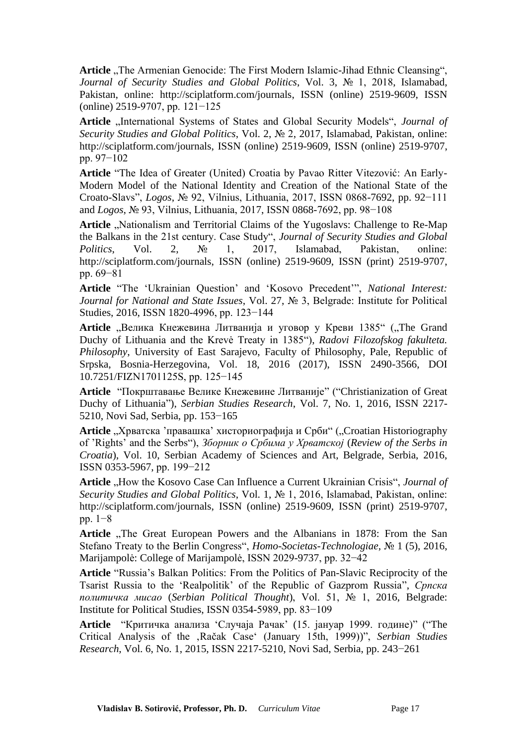Article "The Armenian Genocide: The First Modern Islamic-Jihad Ethnic Cleansing", *Journal of Security Studies and Global Politics*, Vol. 3, № 1, 2018, Islamabad, Pakistan, online: http://sciplatform.com/journals, ISSN (online) 2519-9609, ISSN (online) 2519-9707, pp. 121−125

Article "International Systems of States and Global Security Models", *Journal of Security Studies and Global Politics*, Vol. 2, № 2, 2017, Islamabad, Pakistan, online: http://sciplatform.com/journals, ISSN (online) 2519-9609, ISSN (online) 2519-9707, pp. 97−102

**Article** "The Idea of Greater (United) Croatia by Pavao Ritter Vitezović: An Early-Modern Model of the National Identity and Creation of the National State of the Croato-Slavs", *Logos*, № 92, Vilnius, Lithuania, 2017, ISSN 0868-7692, pp. 92−111 and *Logos*, № 93, Vilnius, Lithuania, 2017, ISSN 0868-7692, pp. 98−108

Article "Nationalism and Territorial Claims of the Yugoslavs: Challenge to Re-Map the Balkans in the 21st century. Case Study", *Journal of Security Studies and Global Politics*, Vol. 2, № 1, 2017, Islamabad, Pakistan, online: http://sciplatform.com/journals, ISSN (online) 2519-9609, ISSN (print) 2519-9707, pp. 69−81

**Article** "The 'Ukrainian Question' and 'Kosovo Precedent'", *National Interest: Journal for National and State Issues*, Vol. 27, № 3, Belgrade: Institute for Political Studies, 2016, ISSN 1820-4996, pp. 123−144

**Article** "Велика Кнежевина Литванија и уговор у Креви 1385" ("The Grand Duchy of Lithuania and the Krevė Treaty in 1385"), *Radovi Filozofskog fakulteta. Philosophy*, University of East Sarajevo, Faculty of Philosophy, Pale, Republic of Srpska, Bosnia-Herzegovina, Vol. 18, 2016 (2017), ISSN 2490-3566, DOI 10.7251/FIZN1701125S, pp. 125−145

**Article** "Покрштавање Велике Кнежевине Литваније" ("Christianization of Great Duchy of Lithuania"), *Serbian Studies Research*, Vol. 7, No. 1, 2016, ISSN 2217- 5210, Novi Sad, Serbia, pp. 153−165

Article "Хрватска 'правашка' хисториографија и Срби" ("Croatian Historiography of 'Rights' and the Serbs"), *Зборник о Србима у Хрватској* (*Review of the Serbs in Croatia*), Vol. 10, Serbian Academy of Sciences and Art, Belgrade, Serbia, 2016, ISSN 0353-5967, pp. 199−212

Article "How the Kosovo Case Can Influence a Current Ukrainian Crisis", *Journal of Security Studies and Global Politics*, Vol. 1, № 1, 2016, Islamabad, Pakistan, online: http://sciplatform.com/journals, ISSN (online) 2519-9609, ISSN (print) 2519-9707, pp. 1−8

Article "The Great European Powers and the Albanians in 1878: From the San Stefano Treaty to the Berlin Congress", *Homo-Societas-Technologiae*, № 1 (5), 2016, Marijampolė: College of Marijampolė, ISSN 2029-9737, pp. 32−42

**Article** "Russia's Balkan Politics: From the Politics of Pan-Slavic Reciprocity of the Tsarist Russia to the 'Realpolitik' of the Republic of Gazprom Russia", *Српска политичка мисао* (*Serbian Political Thought*), Vol. 51, № 1, 2016, Belgrade: Institute for Political Studies, ISSN 0354-5989, pp. 83−109

**Article** "Критичка анализа 'Случаја Рачак' (15. јануар 1999. године)" ("The Critical Analysis of the 'Račak Case' (January 15th, 1999))", *Serbian Studies Research*, Vol. 6, No. 1, 2015, ISSN 2217-5210, Novi Sad, Serbia, pp. 243−261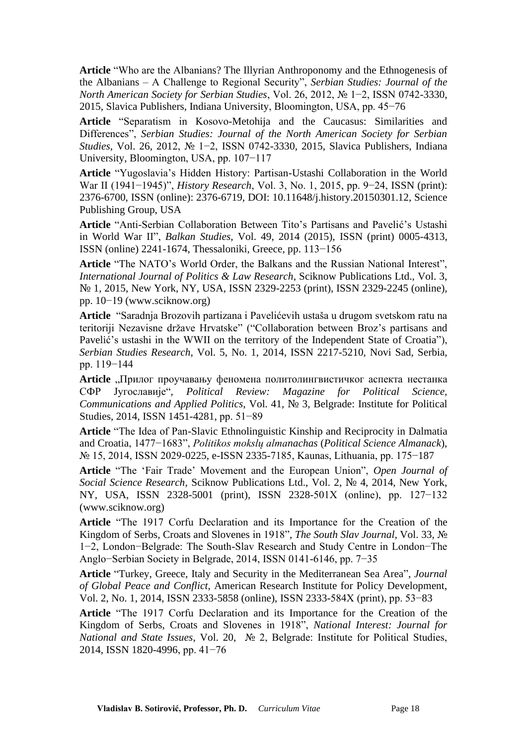**Article** "Who are the Albanians? The Illyrian Anthroponomy and the Ethnogenesis of the Albanians – A Challenge to Regional Security", *Serbian Studies: Journal of the North American Society for Serbian Studies*, Vol. 26, 2012, № 1−2, ISSN 0742-3330, 2015, Slavica Publishers, Indiana University, Bloomington, USA, pp. 45−76

**Article** "Separatism in Kosovo-Metohija and the Caucasus: Similarities and Differences", *Serbian Studies: Journal of the North American Society for Serbian Studies*, Vol. 26, 2012, № 1−2, ISSN 0742-3330, 2015, Slavica Publishers, Indiana University, Bloomington, USA, pp. 107−117

**Article** "Yugoslavia's Hidden History: Partisan-Ustashi Collaboration in the World War II (1941−1945)", *History Research*, Vol. 3, No. 1, 2015, pp. 9−24, ISSN (print): 2376-6700, ISSN (online): 2376-6719, DOI: 10.11648/j.history.20150301.12, Science Publishing Group, USA

**Article** "Anti-Serbian Collaboration Between Tito's Partisans and Pavelić's Ustashi in World War II", *Balkan Studies*, Vol. 49, 2014 (2015), ISSN (print) 0005-4313, ISSN (online) 2241-1674, Thessaloniki, Greece, pp. 113−156

**Article** "The NATO's World Order, the Balkans and the Russian National Interest", *International Journal of Politics & Law Research*, Sciknow Publications Ltd., Vol. 3, № 1, 2015, New York, NY, USA, ISSN 2329-2253 (print), ISSN 2329-2245 (online), pp. 10−19 (www.sciknow.org)

**Article** "Saradnja Brozovih partizana i Pavelićevih ustaša u drugom svetskom ratu na teritoriji Nezavisne države Hrvatske" ("Collaboration between Broz's partisans and Pavelić's ustashi in the WWII on the territory of the Independent State of Croatia"), *Serbian Studies Research*, Vol. 5, No. 1, 2014, ISSN 2217-5210, Novi Sad, Serbia, pp. 119−144

**Article** "Прилог проучавању феномена политолингвистичког аспекта нестанка СФР Југославије", *Political Review: Magazine for Political Science, Communications and Applied Politics*, Vol. 41, № 3, Belgrade: Institute for Political Studies, 2014, ISSN 1451-4281, pp. 51−89

**Article** "The Idea of Pan-Slavic Ethnolinguistic Kinship and Reciprocity in Dalmatia and Croatia, 1477−1683", *Politikos mokslų almanachas* (*Political Science Almanack*), № 15, 2014, ISSN 2029-0225, e-ISSN 2335-7185, Kaunas, Lithuania, pp. 175−187

**Article** "The 'Fair Trade' Movement and the European Union", *Open Journal of Social Science Research*, Sciknow Publications Ltd., Vol. 2, № 4, 2014, New York, NY, USA, ISSN 2328-5001 (print), ISSN 2328-501X (online), pp. 127−132 (www.sciknow.org)

**Article** "The 1917 Corfu Declaration and its Importance for the Creation of the Kingdom of Serbs, Croats and Slovenes in 1918", *The South Slav Journal*, Vol. 33, № 1−2, London−Belgrade: The South-Slav Research and Study Centre in London−The Anglo−Serbian Society in Belgrade, 2014, ISSN 0141-6146, pp. 7−35

**Article** "Turkey, Greece, Italy and Security in the Mediterranean Sea Area", *Journal of Global Peace and Conflict*, American Research Institute for Policy Development, Vol. 2, No. 1, 2014, ISSN 2333-5858 (online), ISSN 2333-584X (print), pp. 53−83

**Article** "The 1917 Corfu Declaration and its Importance for the Creation of the Kingdom of Serbs, Croats and Slovenes in 1918", *National Interest: Journal for National and State Issues*, Vol. 20, № 2, Belgrade: Institute for Political Studies, 2014, ISSN 1820-4996, pp. 41−76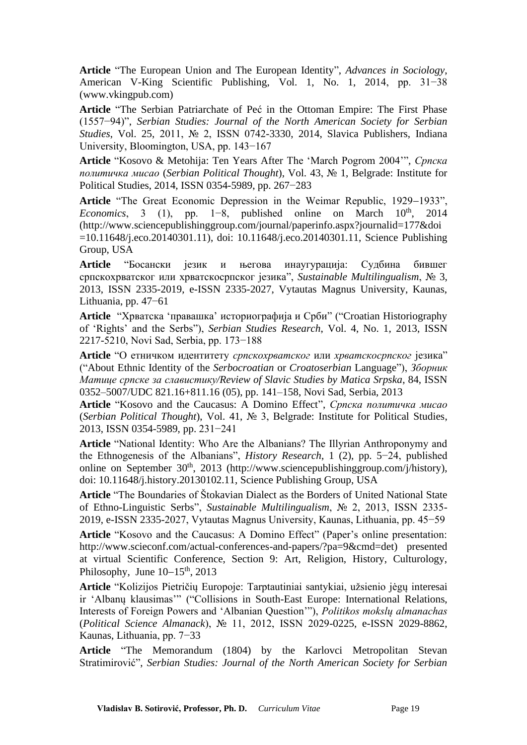**Article** "The European Union and The European Identity", *Advances in Sociology*, American V-King Scientific Publishing, Vol. 1, No. 1, 2014, pp. 31−38 (www.vkingpub.com)

**Article** "The Serbian Patriarchate of Peć in the Ottoman Empire: The First Phase (1557−94)", *Serbian Studies: Journal of the North American Society for Serbian Studies*, Vol. 25, 2011, № 2, ISSN 0742-3330, 2014, Slavica Publishers, Indiana University, Bloomington, USA, pp. 143−167

**Article** "Kosovo & Metohija: Ten Years After The 'March Pogrom 2004'", *Српска политичка мисао* (*Serbian Political Thought*), Vol. 43, № 1, Belgrade: Institute for Political Studies, 2014, ISSN 0354-5989, pp. 267−283

**Article** "The Great Economic Depression in the Weimar Republic, 1929−1933", *Economics*, 3 (1), pp. 1–8, published online on March 10<sup>th</sup>, 2014 (http://www.sciencepublishinggroup.com/journal/paperinfo.aspx?journalid=177&doi =10.11648/j.eco.20140301.11), doi: 10.11648/j.eco.20140301.11, Science Publishing Group, USA

**Article** "Босански језик и његова инаугурација: Судбина бившег српскохрватског или хрватскосрпског језика", *Sustainable Multilingualism*, № 3, 2013, ISSN 2335-2019, e-ISSN 2335-2027, Vytautas Magnus University, Kaunas, Lithuania, pp. 47−61

**Article** "Хрватска 'правашка' историографија и Срби" ("Croatian Historiography of 'Rights' and the Serbs"), *Serbian Studies Research*, Vol. 4, No. 1, 2013, ISSN 2217-5210, Novi Sad, Serbia, pp. 173−188

**Article** "О етничком идентитету *српскохрватског* или *хрватскосрпског* језика" ("About Ethnic Identity of the *Serbocroatian* or *Croatoserbian* Language"), *Зборник Матице српске за славистику/Review of Slavic Studies by Matica Srpska*, 84, ISSN 0352–5007/UDC 821.16+811.16 (05), pp. 141–158, Novi Sad, Serbia, 2013

**Article** "Kosovo and the Caucasus: A Domino Effect", *Српска политичка мисао*  (*Serbian Political Thought*), Vol. 41, № 3, Belgrade: Institute for Political Studies, 2013, ISSN 0354-5989, pp. 231−241

**Article** "National Identity: Who Are the Albanians? The Illyrian Anthroponymy and the Ethnogenesis of the Albanians", *History Research*, 1 (2), pp. 5−24, published online on September  $30<sup>th</sup>$ , 2013 (http://www.sciencepublishinggroup.com/j/history), doi: 10.11648/j.history.20130102.11, Science Publishing Group, USA

**Article** "The Boundaries of Štokavian Dialect as the Borders of United National State of Ethno-Linguistic Serbs", *Sustainable Multilingualism*, № 2, 2013, ISSN 2335- 2019, e-ISSN 2335-2027, Vytautas Magnus University, Kaunas, Lithuania, pp. 45−59

**Article** "Kosovo and the Caucasus: A Domino Effect" (Paper's online presentation: http://www.scieconf.com/actual-conferences-and-papers/?pa=9&cmd=det) presented at virtual Scientific Conference, Section 9: Art, Religion, History, Culturology, Philosophy, June 10−15<sup>th</sup>, 2013

**Article** "Kolizijos Pietričių Europoje: Tarptautiniai santykiai, užsienio jėgų interesai ir 'Albanų klausimas'" ("Collisions in South-East Europe: International Relations, Interests of Foreign Powers and 'Albanian Question'"), *Politikos mokslų almanachas*  (*Political Science Almanack*), № 11, 2012, ISSN 2029-0225, e-ISSN 2029-8862, Kaunas, Lithuania, pp. 7−33

**Article** "The Memorandum (1804) by the Karlovci Metropolitan Stevan Stratimirović", *Serbian Studies: Journal of the North American Society for Serbian*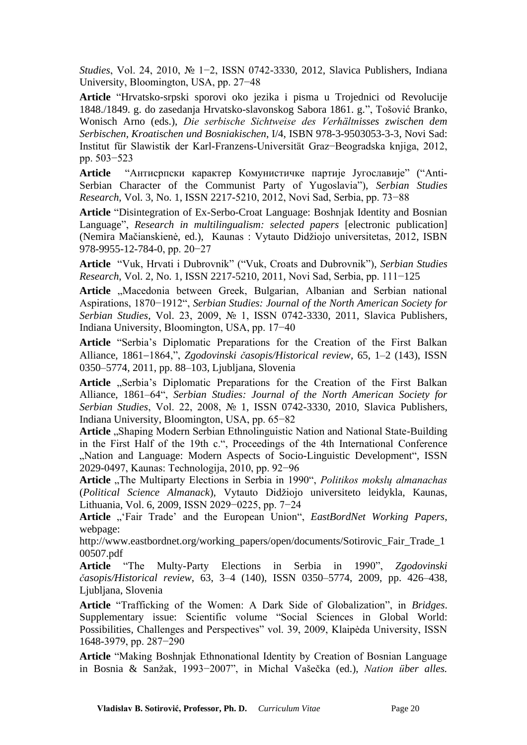*Studies*, Vol. 24, 2010, № 1−2, ISSN 0742-3330, 2012, Slavica Publishers, Indiana University, Bloomington, USA, pp. 27−48

**Article** "Hrvatsko-srpski sporovi oko jezika i pisma u Trojednici od Revolucije 1848./1849. g. do zasedanja Hrvatsko-slavonskog Sabora 1861. g.", Tošović Branko, Wonisch Arno (eds.), *Die serbische Sichtweise des Verhältnisses zwischen dem Serbischen, Kroatischen und Bosniakischen*, I/4, ISBN 978-3-9503053-3-3, Novi Sad: Institut für Slawistik der Karl-Franzens-Universität Graz−Beogradska knjiga, 2012, pp. 503−523

**Article** "Антисрпски карактер Комунистичке партије Југославије" ("Anti-Serbian Character of the Communist Party of Yugoslavia"), *Serbian Studies Research*, Vol. 3, No. 1, ISSN 2217-5210, 2012, Novi Sad, Serbia, pp. 73−88

**Article** "Disintegration of Ex-Serbo-Croat Language: Boshnjak Identity and Bosnian Language", *Research in multilingualism: selected papers* [electronic publication] (Nemira Mačianskienė, ed.), Kaunas : Vytauto Didžiojo universitetas, 2012, ISBN 978-9955-12-784-0, pp. 20−27

**Article** "Vuk, Hrvati i Dubrovnik" ("Vuk, Croats and Dubrovnik"), *Serbian Studies Research*, Vol. 2, No. 1, ISSN 2217-5210, 2011, Novi Sad, Serbia, pp. 111−125

Article "Macedonia between Greek, Bulgarian, Albanian and Serbian national Aspirations, 1870−1912", *Serbian Studies: Journal of the North American Society for Serbian Studies*, Vol. 23, 2009, № 1, ISSN 0742-3330, 2011, Slavica Publishers, Indiana University, Bloomington, USA, pp. 17−40

**Article** "Serbia's Diplomatic Preparations for the Creation of the First Balkan Alliance, 1861−1864,", *Zgodovinski časopis/Historical review*, 65, 1–2 (143), ISSN 0350–5774, 2011, pp. 88–103, Ljubljana, Slovenia

Article "Serbia's Diplomatic Preparations for the Creation of the First Balkan Alliance, 1861–64", *Serbian Studies: Journal of the North American Society for Serbian Studies*, Vol. 22, 2008, № 1, ISSN 0742-3330, 2010, Slavica Publishers, Indiana University, Bloomington, USA, pp. 65−82

Article ..Shaping Modern Serbian Ethnolinguistic Nation and National State-Building in the First Half of the 19th c.", Proceedings of the 4th International Conference "Nation and Language: Modern Aspects of Socio-Linguistic Development", ISSN 2029-0497, Kaunas: Technologija, 2010, pp. 92−96

Article "The Multiparty Elections in Serbia in 1990", *Politikos mokslų almanachas* (*Political Science Almanack*), Vytauto Didžiojo universiteto leidykla, Kaunas, Lithuania, Vol. 6, 2009, ISSN 2029−0225, pp. 7−24

Article "'Fair Trade' and the European Union", *EastBordNet Working Papers*, webpage:

http://www.eastbordnet.org/working\_papers/open/documents/Sotirovic\_Fair\_Trade\_1 00507.pdf

**Article** "The Multy-Party Elections in Serbia in 1990", *Zgodovinski časopis/Historical review*, 63, 3–4 (140), ISSN 0350–5774, 2009, pp. 426–438, Ljubljana, Slovenia

**Article** "Trafficking of the Women: A Dark Side of Globalization", in *Bridges*. Supplementary issue: Scientific volume "Social Sciences in Global World: Possibilities, Challenges and Perspectives" vol. 39, 2009, Klaipėda University, ISSN 1648-3979, pp. 287−290

**Article** "Making Boshnjak Ethnonational Identity by Creation of Bosnian Language in Bosnia & Sanžak, 1993−2007", in Michal Vašečka (ed.), *Nation über alles.*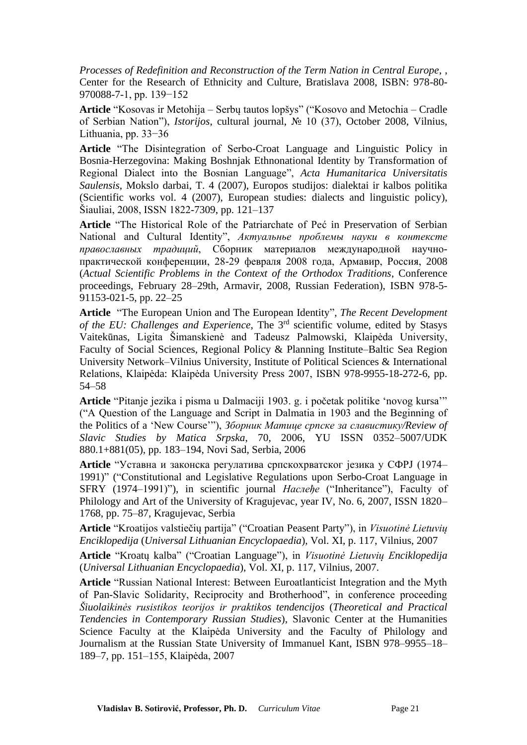*Processes of Redefinition and Reconstruction of the Term Nation in Central Europe*, , Center for the Research of Ethnicity and Culture, Bratislava 2008, ISBN: 978-80- 970088-7-1, pp. 139−152

**Article** "Kosovas ir Metohija – Serbų tautos lopšys" ("Kosovo and Metochia – Cradle of Serbian Nation"), *Istorijos*, cultural journal, № 10 (37), October 2008, Vilnius, Lithuania, pp. 33−36

**Article** "The Disintegration of Serbo-Croat Language and Linguistic Policy in Bosnia-Herzegovina: Making Boshnjak Ethnonational Identity by Transformation of Regional Dialect into the Bosnian Language", *Acta Humanitarica Universitatis Saulensis*, Mokslo darbai, T. 4 (2007), Europos studijos: dialektai ir kalbos politika (Scientific works vol. 4 (2007), European studies: dialects and linguistic policy), Šiauliai, 2008, ISSN 1822-7309, pp. 121–137

**Article** "The Historical Role of the Patriarchate of Peć in Preservation of Serbian National and Cultural Identity", *Актуальнье проблемы науки в контексте православных традиций*, Сборник материалов международной научнопрактической конференции, 28-29 февраля 2008 года, Армавир, Россия, 2008 (*Actual Scientific Problems in the Context of the Orthodox Traditions*, Conference proceedings, February 28–29th, Armavir, 2008, Russian Federation), ISBN 978-5- 91153-021-5, pp. 22–25

**Article** "The European Union and The European Identity", *The Recent Development of the EU: Challenges and Experience*, The 3rd scientific volume, edited by Stasys Vaitekūnas, Ligita Šimanskienė and Tadeusz Palmowski, Klaipėda University, Faculty of Social Sciences, Regional Policy & Planning Institute–Baltic Sea Region University Network–Vilnius University, Institute of Political Sciences & International Relations, Klaipėda: Klaipėda University Press 2007, ISBN 978-9955-18-272-6, pp. 54–58

**Article** "Pitanje jezika i pisma u Dalmaciji 1903. g. i početak politike 'novog kursa'" ("A Question of the Language and Script in Dalmatia in 1903 and the Beginning of the Politics of a 'New Course'"), *Зборник Матице српске за славистику/Review of Slavic Studies by Matica Srpska*, 70, 2006, YU ISSN 0352–5007/UDK 880.1+881(05), pp. 183–194, Novi Sad, Serbia, 2006

**Article** "Уставна и законска регулатива српскохрватског језика у СФРЈ (1974– 1991)" ("Constitutional and Legislative Regulations upon Serbo-Croat Language in SFRY (1974–1991)"), in scientific journal *Наслеђе* ("Inheritance"), Faculty of Philology and Art of the University of Kragujevac, year IV, No. 6, 2007, ISSN 1820– 1768, pp. 75–87, Kragujevac, Serbia

**Article** "Kroatijos valstiečių partija" ("Croatian Peasent Party"), in *Visuotinė Lietuvių Enciklopedija* (*Universal Lithuanian Encyclopaedia*), Vol. XI, p. 117, Vilnius, 2007

**Article** "Kroatų kalba" ("Croatian Language"), in *Visuotinė Lietuvių Enciklopedija* (*Universal Lithuanian Encyclopaedia*), Vol. XI, p. 117, Vilnius, 2007.

**Article** "Russian National Interest: Between Euroatlanticist Integration and the Myth of Pan-Slavic Solidarity, Reciprocity and Brotherhood", in conference proceeding *Šiuolaikinės rusistikos teorijos ir praktikos tendencijos* (*Theoretical and Practical Tendencies in Contemporary Russian Studies*), Slavonic Center at the Humanities Science Faculty at the Klaipėda University and the Faculty of Philology and Journalism at the Russian State University of Immanuel Kant, ISBN 978–9955–18– 189–7, pp. 151–155, Klaipėda, 2007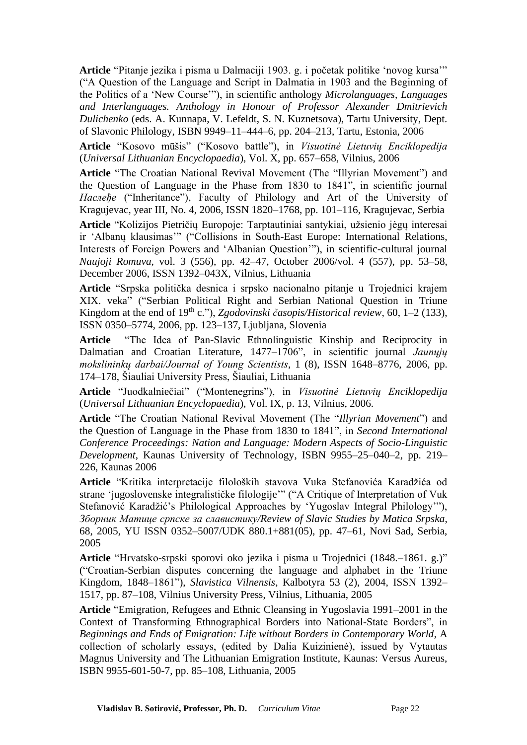**Article** "Pitanje jezika i pisma u Dalmaciji 1903. g. i početak politike 'novog kursa'" ("A Question of the Language and Script in Dalmatia in 1903 and the Beginning of the Politics of a 'New Course'"), in scientific anthology *Microlanguages, Languages and Interlanguages. Anthology in Honour of Professor Alexander Dmitrievich Dulichenko* (eds. A. Kunnapa, V. Lefeldt, S. N. Kuznetsova), Tartu University, Dept. of Slavonic Philology, ISBN 9949–11–444–6, pp. 204–213, Tartu, Estonia, 2006

**Article** "Kosovo mūšis" ("Kosovo battle"), in *Visuotinė Lietuvių Enciklopedija* (*Universal Lithuanian Encyclopaedia*), Vol. X, pp. 657–658, Vilnius, 2006

**Article** "The Croatian National Revival Movement (The "Illyrian Movement") and the Question of Language in the Phase from 1830 to 1841", in scientific journal *Наслеђе* ("Inheritance"), Faculty of Philology and Art of the University of Kragujevac, year III, No. 4, 2006, ISSN 1820–1768, pp. 101–116, Kragujevac, Serbia

**Article** "Kolizijos Pietričių Europoje: Tarptautiniai santykiai, užsienio jėgų interesai ir 'Albanų klausimas'" ("Collisions in South-East Europe: International Relations, Interests of Foreign Powers and 'Albanian Question'"), in scientific-cultural journal *Naujoji Romuva*, vol. 3 (556), pp. 42–47, October 2006/vol. 4 (557), pp. 53–58, December 2006, ISSN 1392–043X, Vilnius, Lithuania

**Article** "Srpska politička desnica i srpsko nacionalno pitanje u Trojednici krajem XIX. veka" ("Serbian Political Right and Serbian National Question in Triune Kingdom at the end of 19<sup>th</sup> c."), *Zgodovinski časopis/Historical review*, 60, 1–2 (133), ISSN 0350–5774, 2006, pp. 123–137, Ljubljana, Slovenia

**Article** "The Idea of Pan-Slavic Ethnolinguistic Kinship and Reciprocity in Dalmatian and Croatian Literature, 1477–1706", in scientific journal *Jaunųjų mokslininkų darbai/Journal of Young Scientists*, 1 (8), ISSN 1648–8776, 2006, pp. 174–178, Šiauliai University Press, Šiauliai, Lithuania

**Article** "Juodkalniečiai" ("Montenegrins"), in *Visuotinė Lietuvių Enciklopedija* (*Universal Lithuanian Encyclopaedia*), Vol. IX, p. 13, Vilnius, 2006.

**Article** "The Croatian National Revival Movement (The "*Illyrian Movement*") and the Question of Language in the Phase from 1830 to 1841", in *Second International Conference Proceedings: Nation and Language: Modern Aspects of Socio-Linguistic Development*, Kaunas University of Technology, ISBN 9955–25–040–2, pp. 219– 226, Kaunas 2006

**Article** "Kritika interpretacije filoloških stavova Vuka Stefanovića Karadžića od strane 'jugoslovenske integralističke filologije'" ("A Critique of Interpretation of Vuk Stefanović Karadžić's Philological Approaches by 'Yugoslav Integral Philology'"), *Зборник Матице српске за славистику/Review of Slavic Studies by Matica Srpska*, 68, 2005, YU ISSN 0352–5007/UDK 880.1+881(05), pp. 47–61, Novi Sad, Serbia, 2005

**Article** "Hrvatsko-srpski sporovi oko jezika i pisma u Trojednici (1848.–1861. g.)" ("Croatian-Serbian disputes concerning the language and alphabet in the Triune Kingdom, 1848–1861"), *Slavistica Vilnensis*, Kalbotyra 53 (2), 2004, ISSN 1392– 1517, pp. 87–108, Vilnius University Press, Vilnius, Lithuania, 2005

**Article** "Emigration, Refugees and Ethnic Cleansing in Yugoslavia 1991–2001 in the Context of Transforming Ethnographical Borders into National-State Borders", in *Beginnings and Ends of Emigration: Life without Borders in Contemporary World*, A collection of scholarly essays, (edited by Dalia Kuizinienė), issued by Vytautas Magnus University and The Lithuanian Emigration Institute, Kaunas: Versus Aureus, ISBN 9955-601-50-7, pp. 85–108, Lithuania, 2005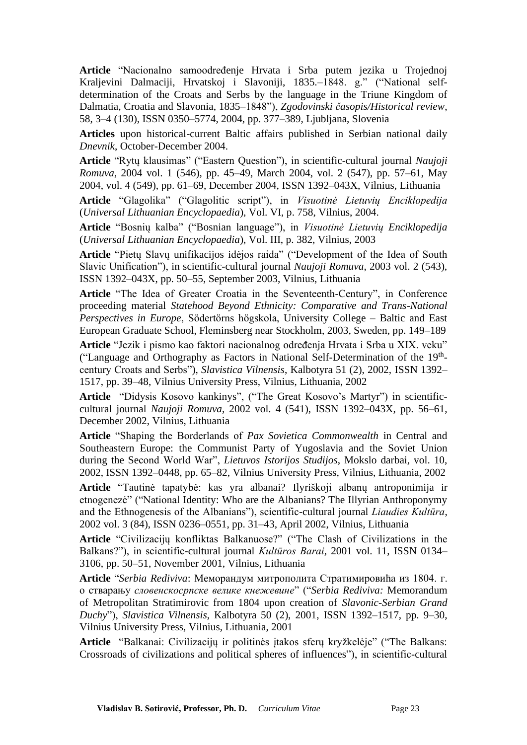**Article** "Nacionalno samoodređenje Hrvata i Srba putem jezika u Trojednoj Kraljevini Dalmaciji, Hrvatskoj i Slavoniji, 1835.–1848. g." ("National selfdetermination of the Croats and Serbs by the language in the Triune Kingdom of Dalmatia, Croatia and Slavonia, 1835–1848"), *Zgodovinski časopis/Historical review*, 58, 3–4 (130), ISSN 0350–5774, 2004, pp. 377–389, Ljubljana, Slovenia

**Articles** upon historical-current Baltic affairs published in Serbian national daily *Dnevnik*, October-December 2004.

**Article** "Rytų klausimas" ("Eastern Question"), in scientific-cultural journal *Naujoji Romuva*, 2004 vol. 1 (546), pp. 45–49, March 2004, vol. 2 (547), pp. 57–61, May 2004, vol. 4 (549), pp. 61–69, December 2004, ISSN 1392–043X, Vilnius, Lithuania

**Article** "Glagolika" ("Glagolitic script"), in *Visuotinė Lietuvių Enciklopedija* (*Universal Lithuanian Encyclopaedia*), Vol. VI, p. 758, Vilnius, 2004.

**Article** "Bosnių kalba" ("Bosnian language"), in *Visuotinė Lietuvių Enciklopedija* (*Universal Lithuanian Encyclopaedia*), Vol. III, p. 382, Vilnius, 2003

**Article** "Pietų Slavų unifikacijos idėjos raida" ("Development of the Idea of South Slavic Unification"), in scientific-cultural journal *Naujoji Romuva*, 2003 vol. 2 (543), ISSN 1392–043X, pp. 50–55, September 2003, Vilnius, Lithuania

**Article** "The Idea of Greater Croatia in the Seventeenth-Century", in Conference proceeding material *Statehood Beyond Ethnicity: Comparative and Trans-National Perspectives in Europe*, Södertörns högskola, University College – Baltic and East European Graduate School, Fleminsberg near Stockholm, 2003, Sweden, pp. 149–189

**Article** "Jezik i pismo kao faktori nacionalnog određenja Hrvata i Srba u XIX. veku" ("Language and Orthography as Factors in National Self-Determination of the 19<sup>th</sup>century Croats and Serbs"), *Slavistica Vilnensis*, Kalbotyra 51 (2), 2002, ISSN 1392– 1517, pp. 39–48, Vilnius University Press, Vilnius, Lithuania, 2002

**Article** "Didysis Kosovo kankinys", ("The Great Kosovo's Martyr") in scientificcultural journal *Naujoji Romuva*, 2002 vol. 4 (541), ISSN 1392–043X, pp. 56–61, December 2002, Vilnius, Lithuania

**Article** "Shaping the Borderlands of *Pax Sovietica Commonwealth* in Central and Southeastern Europe: the Communist Party of Yugoslavia and the Soviet Union during the Second World War", *Lietuvos Istorijos Studijos*, Mokslo darbai, vol. 10, 2002, ISSN 1392–0448, pp. 65–82, Vilnius University Press, Vilnius, Lithuania, 2002

**Article** "Tautinė tapatybė: kas yra albanai? Ilyriškoji albanų antroponimija ir etnogenezė" ("National Identity: Who are the Albanians? The Illyrian Anthroponymy and the Ethnogenesis of the Albanians"), scientific-cultural journal *Liaudies Kultūra*, 2002 vol. 3 (84), ISSN 0236–0551, pp. 31–43, April 2002, Vilnius, Lithuania

**Article** "Civilizacijų konfliktas Balkanuose?" ("The Clash of Civilizations in the Balkans?"), in scientific-cultural journal *Kultūros Barai*, 2001 vol. 11, ISSN 0134– 3106, pp. 50–51, November 2001, Vilnius, Lithuania

**Article** "*Serbia Rediviva*: Меморандум митрополита Стратимировића из 1804. г. о стварању *словенскосрпске велике кнежевине*" ("*Serbia Rediviva:* Memorandum of Metropolitan Stratimirovic from 1804 upon creation of *Slavonic-Serbian Grand Duchy*"), *Slavistica Vilnensis*, Kalbotyra 50 (2), 2001, ISSN 1392–1517, pp. 9–30, Vilnius University Press, Vilnius, Lithuania, 2001

**Article** "Balkanai: Civilizacijų ir politinės įtakos sferų kryžkelėje" ("The Balkans: Crossroads of civilizations and political spheres of influences"), in scientific-cultural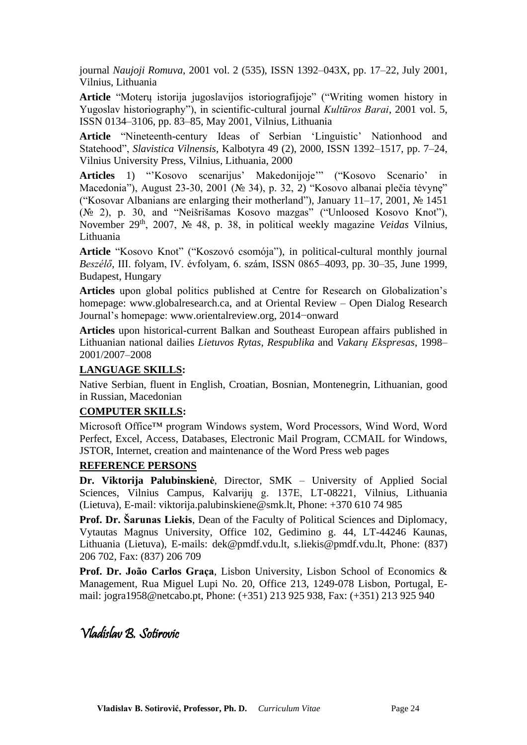journal *Naujoji Romuva*, 2001 vol. 2 (535), ISSN 1392–043X, pp. 17–22, July 2001, Vilnius, Lithuania

**Article** "Moterų istorija jugoslavijos istoriografijoje" ("Writing women history in Yugoslav historiography"), in scientific-cultural journal *Kultūros Barai*, 2001 vol. 5, ISSN 0134–3106, pp. 83–85, May 2001, Vilnius, Lithuania

**Article** "Nineteenth-century Ideas of Serbian 'Linguistic' Nationhood and Statehood", *Slavistica Vilnensis*, Kalbotyra 49 (2), 2000, ISSN 1392–1517, pp. 7–24, Vilnius University Press, Vilnius, Lithuania, 2000

**Articles** 1) "'Kosovo scenarijus' Makedonijoje'" ("Kosovo Scenario' in Macedonia"), August 23-30, 2001 (№ 34), p. 32, 2) "Kosovo albanai plečia tėvynę" ("Kosovar Albanians are enlarging their motherland"), January 11–17, 2001, № 1451 (№ 2), p. 30, and "Neišrišamas Kosovo mazgas" ("Unloosed Kosovo Knot"), November 29th, 2007, № 48, p. 38, in political weekly magazine *Veidas* Vilnius, Lithuania

**Article** "Kosovo Knot" ("Koszovó csomója"), in political-cultural monthly journal *Beszélő*, III. folyam, IV. évfolyam, 6. szám, ISSN 0865–4093, pp. 30–35, June 1999, Budapest, Hungary

**Articles** upon global politics published at Centre for Research on Globalization's homepage: www.globalresearch.ca, and at Oriental Review – Open Dialog Research Journal's homepage: www.orientalreview.org, 2014−onward

**Articles** upon historical-current Balkan and Southeast European affairs published in Lithuanian national dailies *Lietuvos Rytas*, *Respublika* and *Vakarų Ekspresas*, 1998– 2001/2007–2008

#### **LANGUAGE SKILLS:**

Native Serbian, fluent in English, Croatian, Bosnian, Montenegrin, Lithuanian, good in Russian, Macedonian

#### **COMPUTER SKILLS:**

Microsoft Office™ program Windows system, Word Processors, Wind Word, Word Perfect, Excel, Access, Databases, Electronic Mail Program, CCMAIL for Windows, JSTOR, Internet, creation and maintenance of the Word Press web pages

#### **REFERENCE PERSONS**

**Dr. Viktorija Palubinskienė**, Director, SMK – University of Applied Social Sciences, Vilnius Campus, Kalvarijų g. 137E, LT-08221, Vilnius, Lithuania (Lietuva), E-mail: viktorija.palubinskiene@smk.lt, Phone: +370 610 74 985

**Prof. Dr. Šarunas Liekis**, Dean of the Faculty of Political Sciences and Diplomacy, Vytautas Magnus University, Office 102, Gedimino g. 44, LT-44246 Kaunas, Lithuania (Lietuva), E-mails: dek@pmdf.vdu.lt, s.liekis@pmdf.vdu.lt, Phone: (837) 206 702, Fax: (837) 206 709

**Prof. Dr. João Carlos Graça**, Lisbon University, Lisbon School of Economics & Management, Rua Miguel Lupi No. 20, Office 213, 1249-078 Lisbon, Portugal, Email: jogra1958@netcabo.pt, Phone: (+351) 213 925 938, Fax: (+351) 213 925 940

Vladislav B. Sotirovic